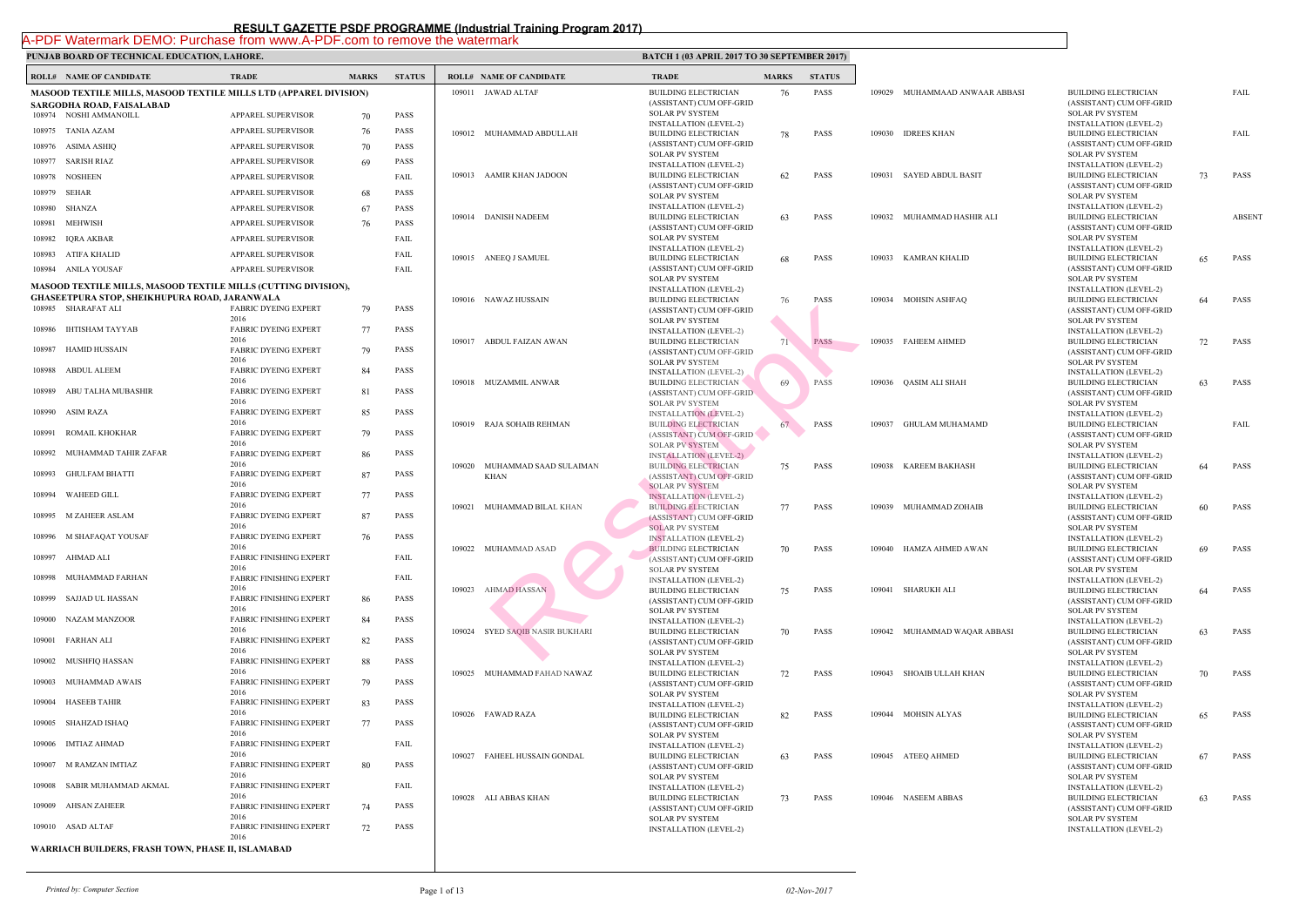|        | <b>ROLL# NAME OF CANDIDATE</b>                                        | <b>TRADE</b>                           | <b>MARKS</b> | <b>STATUS</b> |        | <b>ROLL# NAME OF CANDIDATE</b>  | <b>TRAL</b>                  |
|--------|-----------------------------------------------------------------------|----------------------------------------|--------------|---------------|--------|---------------------------------|------------------------------|
|        | MASOOD TEXTILE MILLS, MASOOD TEXTILE MILLS LTD (APPAREL DIVISION)     |                                        |              |               |        | 109011 JAWAD ALTAF              | <b>BUILD</b>                 |
|        | SARGODHA ROAD, FAISALABAD                                             |                                        |              |               |        |                                 | (ASSIS                       |
|        | 108974 NOSHI AMMANOILL                                                | APPAREL SUPERVISOR                     | 70           | <b>PASS</b>   |        |                                 | <b>SOLAR</b><br><b>INSTA</b> |
| 108975 | <b>TANIA AZAM</b>                                                     | <b>APPAREL SUPERVISOR</b>              | 76           | <b>PASS</b>   |        | 109012 MUHAMMAD ABDULLAH        | <b>BUILD</b>                 |
| 108976 | ASIMA ASHIQ                                                           | APPAREL SUPERVISOR                     | 70           | <b>PASS</b>   |        |                                 | (ASSIS<br><b>SOLAI</b>       |
| 108977 | <b>SARISH RIAZ</b>                                                    | APPAREL SUPERVISOR                     | 69           | <b>PASS</b>   |        |                                 | <b>INSTA</b>                 |
| 108978 | <b>NOSHEEN</b>                                                        | APPAREL SUPERVISOR                     |              | FAIL          |        | 109013 AAMIR KHAN JADOON        | <b>BUILD</b><br>(ASSIS       |
| 108979 | SEHAR                                                                 | APPAREL SUPERVISOR                     | 68           | <b>PASS</b>   |        |                                 | <b>SOLAR</b>                 |
| 108980 | <b>SHANZA</b>                                                         | APPAREL SUPERVISOR                     | 67           | <b>PASS</b>   |        |                                 | <b>INSTA</b>                 |
| 108981 | <b>MEHWISH</b>                                                        | APPAREL SUPERVISOR                     | 76           | <b>PASS</b>   |        | 109014 DANISH NADEEM            | <b>BUILD</b><br>(ASSIS       |
| 108982 | IQRA AKBAR                                                            | APPAREL SUPERVISOR                     |              | FAIL          |        |                                 | <b>SOLAI</b>                 |
| 108983 | ATIFA KHALID                                                          | APPAREL SUPERVISOR                     |              | FAIL          |        | 109015 ANEEQ J SAMUEL           | <b>INSTA</b><br><b>BUILD</b> |
| 108984 | ANILA YOUSAF                                                          | APPAREL SUPERVISOR                     |              | FAIL          |        |                                 | (ASSIS                       |
|        | <b>MASOOD TEXTILE MILLS, MASOOD TEXTILE MILLS (CUTTING DIVISION),</b> |                                        |              |               |        |                                 | <b>SOLAR</b><br><b>INSTA</b> |
|        | <b>GHASEETPURA STOP, SHEIKHUPURA ROAD, JARANWALA</b>                  |                                        |              |               |        | 109016 NAWAZ HUSSAIN            | <b>BUILD</b>                 |
|        | 108985 SHARAFAT ALI                                                   | <b>FABRIC DYEING EXPERT</b><br>2016    | 79           | <b>PASS</b>   |        |                                 | (ASSIS                       |
| 108986 | <b>IHTISHAM TAYYAB</b>                                                | <b>FABRIC DYEING EXPERT</b>            | 77           | PASS          |        |                                 | <b>SOLAF</b><br><b>INSTA</b> |
|        |                                                                       | 2016                                   |              |               |        | 109017 ABDUL FAIZAN AWAN        | <b>BUILD</b>                 |
| 108987 | <b>HAMID HUSSAIN</b>                                                  | <b>FABRIC DYEING EXPERT</b><br>2016    | 79           | <b>PASS</b>   |        |                                 | (ASSIS<br><b>SOLAR</b>       |
| 108988 | ABDUL ALEEM                                                           | <b>FABRIC DYEING EXPERT</b>            | 84           | PASS          |        |                                 | <b>INSTA</b>                 |
| 108989 | ABU TALHA MUBASHIR                                                    | 2016<br><b>FABRIC DYEING EXPERT</b>    | 81           | PASS          |        | 109018 MUZAMMIL ANWAR           | <b>BUILD</b><br>(ASSIS       |
|        |                                                                       | 2016                                   |              |               |        |                                 | <b>SOLAI</b>                 |
| 108990 | ASIM RAZA                                                             | <b>FABRIC DYEING EXPERT</b><br>2016    | 85           | PASS          |        |                                 | <b>INSTA</b>                 |
| 108991 | ROMAIL KHOKHAR                                                        | <b>FABRIC DYEING EXPERT</b>            | 79           | <b>PASS</b>   |        | 109019 RAJA SOHAIB REHMAN       | <b>BUILD</b><br>(ASSIS       |
|        |                                                                       | 2016                                   |              |               |        |                                 | <b>SOLAI</b>                 |
| 108992 | MUHAMMAD TAHIR ZAFAR                                                  | <b>FABRIC DYEING EXPERT</b><br>2016    | 86           | <b>PASS</b>   | 109020 | MUHAMMAD SAAD SULAIMAN          | <b>INSTA</b><br><b>BUILD</b> |
| 108993 | <b>GHULFAM BHATTI</b>                                                 | <b>FABRIC DYEING EXPERT</b>            | 87           | PASS          |        | <b>KHAN</b>                     | (ASSIS                       |
| 108994 | <b>WAHEED GILL</b>                                                    | 2016<br><b>FABRIC DYEING EXPERT</b>    | 77           | <b>PASS</b>   |        |                                 | <b>SOLAI</b><br><b>INSTA</b> |
|        |                                                                       | 2016                                   |              |               | 109021 | MUHAMMAD BILAL KHAN             | <b>BUILD</b>                 |
| 108995 | M ZAHEER ASLAM                                                        | <b>FABRIC DYEING EXPERT</b><br>2016    | 87           | <b>PASS</b>   |        |                                 | (ASSIS                       |
|        | 108996 M SHAFAQAT YOUSAF                                              | <b>FABRIC DYEING EXPERT</b>            | 76           | <b>PASS</b>   |        |                                 | <b>SOLAI</b><br><b>INSTA</b> |
|        |                                                                       | 2016                                   |              |               |        | 109022 MUHAMMAD ASAD            | <b>BUILD</b>                 |
|        | 108997 AHMAD ALI                                                      | <b>FABRIC FINISHING EXPERT</b><br>2016 |              | FAIL          |        |                                 | (ASSIS<br><b>SOLAI</b>       |
| 108998 | MUHAMMAD FARHAN                                                       | <b>FABRIC FINISHING EXPERT</b>         |              | FAIL          |        |                                 | <b>INSTA</b>                 |
| 108999 | SAJJAD UL HASSAN                                                      | 2016<br><b>FABRIC FINISHING EXPERT</b> | 86           | PASS          | 109023 | <b>AHMAD HASSAN</b>             | <b>BUILD</b><br>(ASSIS       |
|        |                                                                       | 2016                                   |              |               |        |                                 | <b>SOLAR</b>                 |
| 109000 | NAZAM MANZOOR                                                         | <b>FABRIC FINISHING EXPERT</b><br>2016 | 84           | PASS          |        |                                 | <b>INSTA</b>                 |
| 109001 | FARHAN ALI                                                            | <b>FABRIC FINISHING EXPERT</b>         | 82           | PASS          |        | 109024 SYED SAQIB NASIR BUKHARI | <b>BUILD</b><br>(ASSIS       |
|        |                                                                       | 2016                                   |              |               |        |                                 | <b>SOLAI</b>                 |
| 109002 | MUSHFIQ HASSAN                                                        | <b>FABRIC FINISHING EXPERT</b><br>2016 | 88           | PASS          |        | 109025 MUHAMMAD FAHAD NAWAZ     | <b>INSTA</b><br><b>BUILD</b> |
| 109003 | MUHAMMAD AWAIS                                                        | <b>FABRIC FINISHING EXPERT</b>         | 79           | PASS          |        |                                 | (ASSIS                       |
| 109004 | <b>HASEEB TAHIR</b>                                                   | 2016<br><b>FABRIC FINISHING EXPERT</b> | 83           | PASS          |        |                                 | <b>SOLAR</b><br><b>INSTA</b> |
|        |                                                                       | 2016                                   |              |               |        | 109026 FAWAD RAZA               | <b>BUILD</b>                 |
| 109005 | SHAHZAD ISHAQ                                                         | <b>FABRIC FINISHING EXPERT</b><br>2016 | 77           | PASS          |        |                                 | (ASSIS                       |
| 109006 | <b>IMTIAZ AHMAD</b>                                                   | <b>FABRIC FINISHING EXPERT</b>         |              | FAIL          |        |                                 | <b>SOLAI</b><br><b>INSTA</b> |
|        |                                                                       | 2016                                   |              |               |        | 109027 FAHEEL HUSSAIN GONDAL    | <b>BUILD</b>                 |
| 109007 | M RAMZAN IMTIAZ                                                       | <b>FABRIC FINISHING EXPERT</b><br>2016 | 80           | <b>PASS</b>   |        |                                 | (ASSIS<br><b>SOLAI</b>       |
| 109008 | SABIR MUHAMMAD AKMAL                                                  | <b>FABRIC FINISHING EXPERT</b>         |              | FAIL          |        |                                 | <b>INSTA</b>                 |
| 109009 | <b>AHSAN ZAHEER</b>                                                   | 2016<br>FABRIC FINISHING EXPERT        | 74           | PASS          |        | 109028 ALI ABBAS KHAN           | <b>BUILD</b>                 |
|        |                                                                       | 2016                                   |              |               |        |                                 | (ASSIS<br><b>SOLAR</b>       |
|        | 109010 ASAD ALTAF                                                     | <b>FABRIC FINISHING EXPERT</b>         | 72           | PASS          |        |                                 | <b>INSTA</b>                 |
|        | WARRIACH BUILDERS, FRASH TOWN, PHASE II, ISLAMABAD                    | 2016                                   |              |               |        |                                 |                              |
|        |                                                                       |                                        |              |               |        |                                 |                              |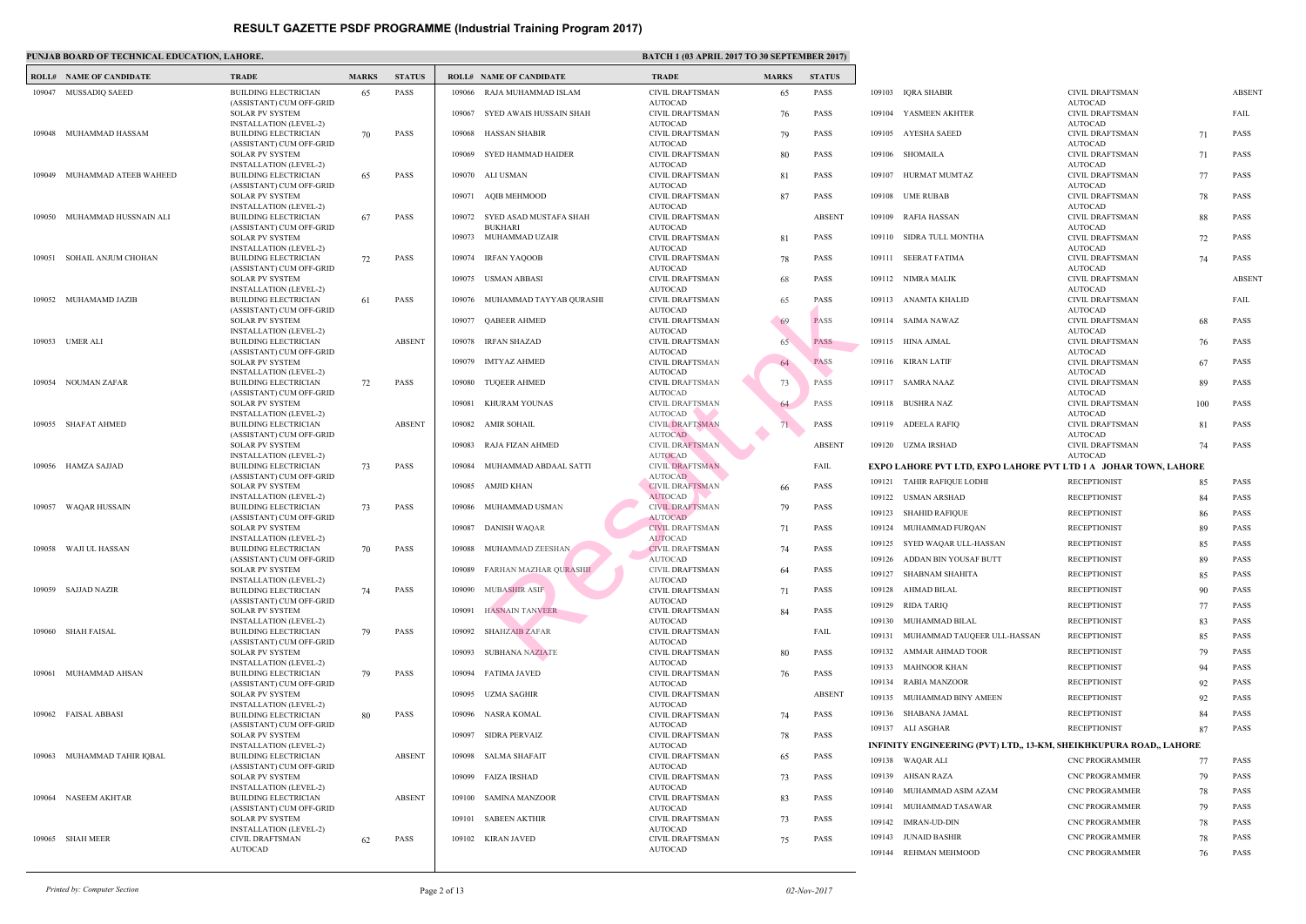### **PUNJAB BOARD OF TECHNICAL EDUCATION, LAHORE. BATCH 1 (03) APPENDIX 2017 ISLAM 2017 ISLAM 2017 TO 30 SATCH 2017**

|        | <b>ROLL# NAME OF CANDIDATE</b> | <b>TRADE</b>                                                 | <b>MARKS</b> | <b>STATUS</b> |        | <b>ROLL# NAME OF CANDIDATE</b>          | <b>TRAL</b>                 |
|--------|--------------------------------|--------------------------------------------------------------|--------------|---------------|--------|-----------------------------------------|-----------------------------|
|        | 109047 MUSSADIQ SAEED          | BUILDING ELECTRICIAN                                         | 65           | <b>PASS</b>   | 109066 | RAJA MUHAMMAD ISLAM                     | <b>CIVIL</b>                |
|        |                                | (ASSISTANT) CUM OFF-GRID<br><b>SOLAR PV SYSTEM</b>           |              |               | 109067 | SYED AWAIS HUSSAIN SHAH                 | <b>AUTO</b><br><b>CIVIL</b> |
|        |                                | <b>INSTALLATION (LEVEL-2)</b>                                |              |               |        |                                         | <b>AUTO</b>                 |
|        | 109048 MUHAMMAD HASSAM         | <b>BUILDING ELECTRICIAN</b>                                  | 70           | <b>PASS</b>   | 109068 | HASSAN SHABIR                           | <b>CIVIL</b>                |
|        |                                | (ASSISTANT) CUM OFF-GRID<br><b>SOLAR PV SYSTEM</b>           |              |               | 109069 | <b>SYED HAMMAD HAIDER</b>               | <b>AUTO</b><br><b>CIVIL</b> |
| 109049 | MUHAMMAD ATEEB WAHEED          | INSTALLATION (LEVEL-2)<br><b>BUILDING ELECTRICIAN</b>        | 65           | <b>PASS</b>   |        | 109070 ALI USMAN                        | <b>AUTO</b><br><b>CIVIL</b> |
|        |                                | (ASSISTANT) CUM OFF-GRID                                     |              |               |        |                                         | <b>AUTO</b>                 |
|        |                                | <b>SOLAR PV SYSTEM</b><br><b>INSTALLATION (LEVEL-2)</b>      |              |               | 109071 | <b>AQIB MEHMOOD</b>                     | <b>CIVIL</b><br><b>AUTO</b> |
|        | 109050 MUHAMMAD HUSSNAIN ALI   | <b>BUILDING ELECTRICIAN</b>                                  | 67           | <b>PASS</b>   | 109072 | SYED ASAD MUSTAFA SHAH                  | <b>CIVIL</b>                |
|        |                                | (ASSISTANT) CUM OFF-GRID<br><b>SOLAR PV SYSTEM</b>           |              |               |        | <b>BUKHARI</b><br>109073 MUHAMMAD UZAIR | <b>AUTO</b><br><b>CIVIL</b> |
|        |                                | <b>INSTALLATION (LEVEL-2)</b>                                |              |               |        |                                         | <b>AUTO</b>                 |
| 109051 | SOHAIL ANJUM CHOHAN            | <b>BUILDING ELECTRICIAN</b>                                  | 72           | <b>PASS</b>   | 109074 | <b>IRFAN YAQOOB</b>                     | <b>CIVIL</b>                |
|        |                                | (ASSISTANT) CUM OFF-GRID<br>SOLAR PV SYSTEM                  |              |               |        | 109075 USMAN ABBASI                     | <b>AUTO</b><br><b>CIVIL</b> |
|        |                                | <b>INSTALLATION (LEVEL-2)</b>                                |              |               |        |                                         | <b>AUTO</b>                 |
|        | 109052 MUHAMAMD JAZIB          | <b>BUILDING ELECTRICIAN</b><br>(ASSISTANT) CUM OFF-GRID      | 61           | <b>PASS</b>   |        | 109076 MUHAMMAD TAYYAB QURASHI          | <b>CIVIL</b><br><b>AUTO</b> |
|        |                                | <b>SOLAR PV SYSTEM</b>                                       |              |               | 109077 | <b>QABEER AHMED</b>                     | <b>CIVIL</b>                |
|        | <b>UMER ALI</b>                | <b>INSTALLATION (LEVEL-2)</b>                                |              | <b>ABSENT</b> | 109078 |                                         | <b>AUTO</b><br><b>CIVIL</b> |
| 109053 |                                | <b>BUILDING ELECTRICIAN</b><br>(ASSISTANT) CUM OFF-GRID      |              |               |        | <b>IRFAN SHAZAD</b>                     | <b>AUTO</b>                 |
|        |                                | <b>SOLAR PV SYSTEM</b>                                       |              |               | 109079 | <b>IMTYAZ AHMED</b>                     | <b>CIVIL</b>                |
| 109054 | NOUMAN ZAFAR                   | <b>INSTALLATION (LEVEL-2)</b><br><b>BUILDING ELECTRICIAN</b> | 72           | <b>PASS</b>   | 109080 | <b>TUQEER AHMED</b>                     | <b>AUTO</b><br><b>CIVIL</b> |
|        |                                | (ASSISTANT) CUM OFF-GRID                                     |              |               |        |                                         | <b>AUTO</b>                 |
|        |                                | <b>SOLAR PV SYSTEM</b><br>INSTALLATION (LEVEL-2)             |              |               | 109081 | KHURAM YOUNAS                           | <b>CIVIL</b><br><b>AUTO</b> |
|        | 109055 SHAFAT AHMED            | <b>BUILDING ELECTRICIAN</b>                                  |              | <b>ABSENT</b> |        | 109082 AMIR SOHAIL                      | <b>CIVIL</b>                |
|        |                                | (ASSISTANT) CUM OFF-GRID<br><b>SOLAR PV SYSTEM</b>           |              |               | 109083 | RAJA FIZAN AHMED                        | <b>AUTO</b><br><b>CIVIL</b> |
|        |                                | <b>INSTALLATION (LEVEL-2)</b>                                |              |               |        |                                         | <b>AUTO</b>                 |
| 109056 | HAMZA SAJJAD                   | <b>BUILDING ELECTRICIAN</b><br>(ASSISTANT) CUM OFF-GRID      | 73           | <b>PASS</b>   | 109084 | MUHAMMAD ABDAAL SATTI                   | <b>CIVIL</b><br><b>AUTO</b> |
|        |                                | <b>SOLAR PV SYSTEM</b>                                       |              |               | 109085 | AMJID KHAN                              | <b>CIVIL</b>                |
| 109057 | WAQAR HUSSAIN                  | <b>INSTALLATION (LEVEL-2)</b><br><b>BUILDING ELECTRICIAN</b> |              | <b>PASS</b>   | 109086 | MUHAMMAD USMAN                          | <b>AUTO</b><br><b>CIVIL</b> |
|        |                                | (ASSISTANT) CUM OFF-GRID                                     | 73           |               |        |                                         | <b>AUTO</b>                 |
|        |                                | <b>SOLAR PV SYSTEM</b>                                       |              |               | 109087 | <b>DANISH WAQAR</b>                     | <b>CIVIL</b>                |
|        | 109058 WAJI UL HASSAN          | <b>INSTALLATION (LEVEL-2)</b><br><b>BUILDING ELECTRICIAN</b> | 70           | <b>PASS</b>   |        | 109088 MUHAMMAD ZEESHAN                 | <b>AUTO</b><br><b>CIVIL</b> |
|        |                                | (ASSISTANT) CUM OFF-GRID                                     |              |               |        |                                         | <b>AUTO</b>                 |
|        |                                | <b>SOLAR PV SYSTEM</b><br><b>INSTALLATION (LEVEL-2)</b>      |              |               | 109089 | FARHAN MAZHAR QURASHII                  | <b>CIVIL</b><br><b>AUTO</b> |
|        | 109059 SAJJAD NAZIR            | <b>BUILDING ELECTRICIAN</b>                                  | 74           | <b>PASS</b>   | 109090 | <b>MUBASHIR ASIF</b>                    | <b>CIVIL</b>                |
|        |                                | (ASSISTANT) CUM OFF-GRID<br><b>SOLAR PV SYSTEM</b>           |              |               | 109091 | <b>HASNAIN TANVEER</b>                  | <b>AUTO</b><br><b>CIVIL</b> |
|        |                                | INSTALLATION (LEVEL-2)                                       |              |               |        |                                         | <b>AUTO</b>                 |
|        | 109060 SHAH FAISAL             | <b>BUILDING ELECTRICIAN</b><br>(ASSISTANT) CUM OFF-GRID      | 79           | <b>PASS</b>   | 109092 | <b>SHAHZAIB ZAFAR</b>                   | <b>CIVIL</b><br><b>AUTO</b> |
|        |                                | <b>SOLAR PV SYSTEM</b>                                       |              |               | 109093 | <b>SUBHANA NAZIATE</b>                  | <b>CIVIL</b>                |
| 109061 | MUHAMMAD AHSAN                 | <b>INSTALLATION (LEVEL-2)</b><br><b>BUILDING ELECTRICIAN</b> | 79           | <b>PASS</b>   | 109094 | <b>FATIMA JAVED</b>                     | <b>AUTO</b><br><b>CIVIL</b> |
|        |                                | (ASSISTANT) CUM OFF-GRID                                     |              |               |        |                                         | <b>AUTO</b>                 |
|        |                                | <b>SOLAR PV SYSTEM</b>                                       |              |               |        | 109095 UZMA SAGHIR                      | <b>CIVIL</b><br><b>AUTO</b> |
| 109062 | <b>FAISAL ABBASI</b>           | <b>INSTALLATION (LEVEL-2)</b><br><b>BUILDING ELECTRICIAN</b> | 80           | <b>PASS</b>   | 109096 | NASRA KOMAL                             | <b>CIVIL</b>                |
|        |                                | (ASSISTANT) CUM OFF-GRID                                     |              |               |        |                                         | <b>AUTO</b>                 |
|        |                                | <b>SOLAR PV SYSTEM</b><br><b>INSTALLATION (LEVEL-2)</b>      |              |               | 109097 | SIDRA PERVAIZ                           | <b>CIVIL</b><br><b>AUTO</b> |
| 109063 | MUHAMMAD TAHIR IQBAL           | <b>BUILDING ELECTRICIAN</b>                                  |              | <b>ABSENT</b> | 109098 | <b>SALMA SHAFAIT</b>                    | <b>CIVIL</b>                |
|        |                                | (ASSISTANT) CUM OFF-GRID<br><b>SOLAR PV SYSTEM</b>           |              |               | 109099 | <b>FAIZA IRSHAD</b>                     | <b>AUTO</b><br><b>CIVIL</b> |
|        |                                | <b>INSTALLATION (LEVEL-2)</b>                                |              |               |        |                                         | <b>AUTO</b>                 |
| 109064 | NASEEM AKHTAR                  | <b>BUILDING ELECTRICIAN</b><br>(ASSISTANT) CUM OFF-GRID      |              | <b>ABSENT</b> | 109100 | <b>SAMINA MANZOOR</b>                   | <b>CIVIL</b><br><b>AUTO</b> |
|        |                                | <b>SOLAR PV SYSTEM</b>                                       |              |               | 109101 | <b>SABEEN AKTHIR</b>                    | <b>CIVIL</b>                |
|        | 109065 SHAH MEER               | <b>INSTALLATION (LEVEL-2)</b><br><b>CIVIL DRAFTSMAN</b>      | 62           | <b>PASS</b>   |        | 109102 KIRAN JAVED                      | <b>AUTO</b><br><b>CIVIL</b> |
|        |                                | <b>AUTOCAD</b>                                               |              |               |        |                                         | <b>AUTO</b>                 |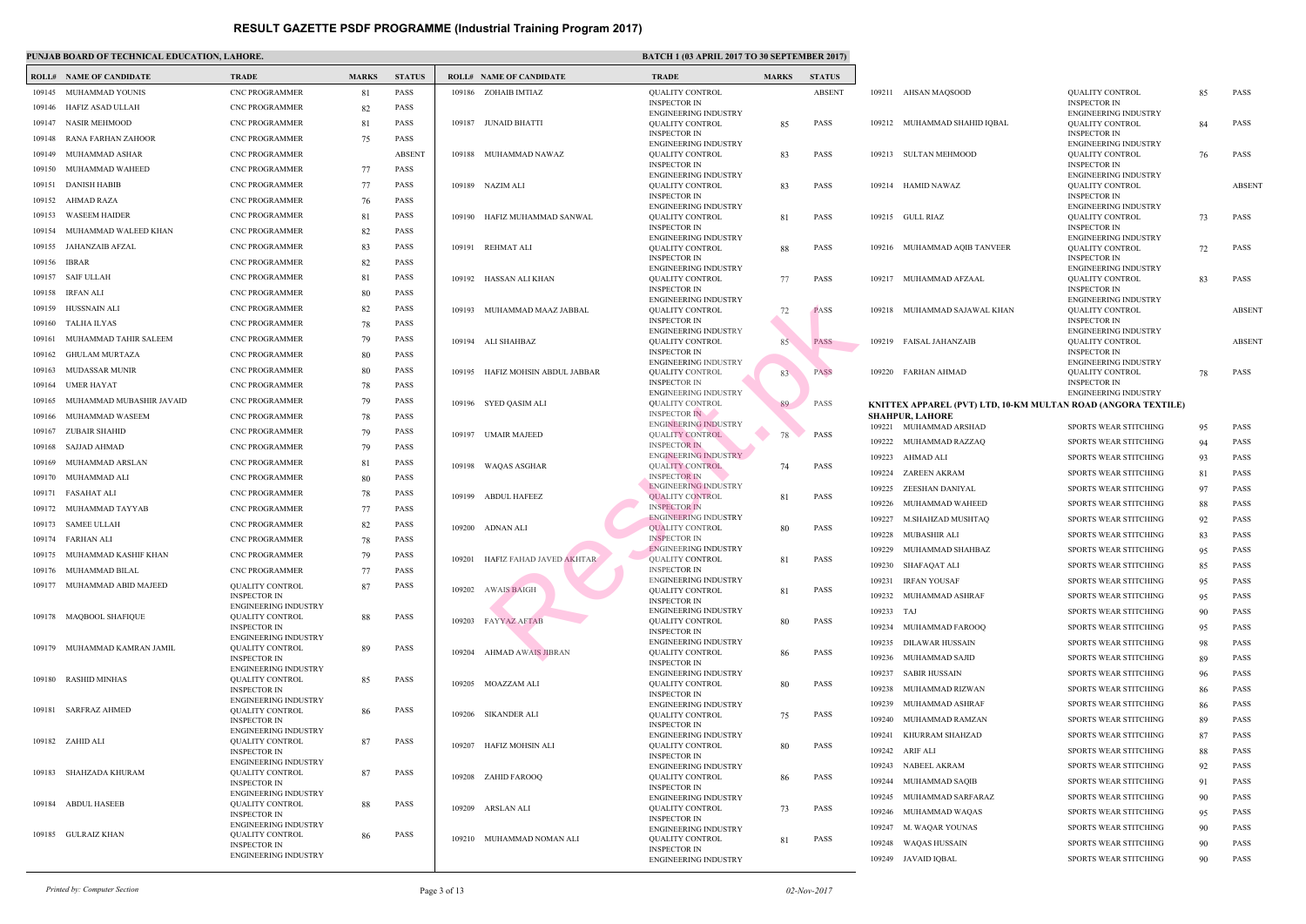|                  | <b>ROLL# NAME OF CANDIDATE</b> | <b>TRADE</b>                                       | <b>MARKS</b> | <b>STATUS</b> |        | <b>ROLL# NAME OF CANDIDATE</b>   | <b>TRAD</b>                  |
|------------------|--------------------------------|----------------------------------------------------|--------------|---------------|--------|----------------------------------|------------------------------|
| 109145           | MUHAMMAD YOUNIS                | <b>CNC PROGRAMMER</b>                              | 81           | <b>PASS</b>   |        | 109186 ZOHAIB IMTIAZ             | <b>QUAL</b>                  |
| 109146           | HAFIZ ASAD ULLAH               | <b>CNC PROGRAMMER</b>                              | 82           | <b>PASS</b>   |        |                                  | <b>INSPE</b><br><b>ENGIN</b> |
| 109147           | NASIR MEHMOOD                  | <b>CNC PROGRAMMER</b>                              | 81           | PASS          | 109187 | JUNAID BHATTI                    | <b>QUAL</b>                  |
| 109148           | RANA FARHAN ZAHOOR             | <b>CNC PROGRAMMER</b>                              | 75           | <b>PASS</b>   |        |                                  | <b>INSPE</b><br><b>ENGIN</b> |
| 109149           | MUHAMMAD ASHAR                 | <b>CNC PROGRAMMER</b>                              |              | <b>ABSENT</b> |        | 109188 MUHAMMAD NAWAZ            | <b>QUAL</b>                  |
| 109150           | MUHAMMAD WAHEED                | <b>CNC PROGRAMMER</b>                              | 77           | <b>PASS</b>   |        |                                  | <b>INSPE</b>                 |
| 109151           | DANISH HABIB                   | <b>CNC PROGRAMMER</b>                              | 77           | <b>PASS</b>   |        | 109189 NAZIM ALI                 | <b>ENGIN</b><br><b>QUAL</b>  |
| 109152           | AHMAD RAZA                     | <b>CNC PROGRAMMER</b>                              | 76           | <b>PASS</b>   |        |                                  | <b>INSPE</b>                 |
| 109153           | <b>WASEEM HAIDER</b>           | <b>CNC PROGRAMMER</b>                              | 81           | <b>PASS</b>   |        | 109190 HAFIZ MUHAMMAD SANWAL     | <b>ENGIN</b><br><b>QUAL</b>  |
| 109154           | MUHAMMAD WALEED KHAN           | <b>CNC PROGRAMMER</b>                              | 82           | <b>PASS</b>   |        |                                  | <b>INSPE</b>                 |
| 109155           | JAHANZAIB AFZAL                | <b>CNC PROGRAMMER</b>                              | 83           | PASS          |        | 109191 REHMAT ALI                | <b>ENGIN</b><br><b>QUAL</b>  |
| 109156           | <b>IBRAR</b>                   | <b>CNC PROGRAMMER</b>                              | 82           | <b>PASS</b>   |        |                                  | <b>INSPE</b>                 |
| 109157           | SAIF ULLAH                     | <b>CNC PROGRAMMER</b>                              | 81           | <b>PASS</b>   |        | 109192 HASSAN ALI KHAN           | <b>ENGIN</b><br><b>QUAL</b>  |
| 109158           | IRFAN ALI                      | <b>CNC PROGRAMMER</b>                              | 80           | <b>PASS</b>   |        |                                  | <b>INSPE</b>                 |
| 109159           | HUSSNAIN ALI                   | <b>CNC PROGRAMMER</b>                              | 82           | <b>PASS</b>   |        | 109193 MUHAMMAD MAAZ JABBAL      | <b>ENGIN</b><br><b>QUAL</b>  |
| 109160           | TALHA ILYAS                    | <b>CNC PROGRAMMER</b>                              | 78           | <b>PASS</b>   |        |                                  | <b>INSPE</b>                 |
| 109161           | MUHAMMAD TAHIR SALEEM          | <b>CNC PROGRAMMER</b>                              | 79           | <b>PASS</b>   |        | 109194 ALI SHAHBAZ               | <b>ENGIN</b><br><b>QUAL</b>  |
| 109162           | <b>GHULAM MURTAZA</b>          | <b>CNC PROGRAMMER</b>                              | 80           | <b>PASS</b>   |        |                                  | <b>INSPE</b>                 |
| 109163           | MUDASSAR MUNIR                 | <b>CNC PROGRAMMER</b>                              | 80           | PASS          |        |                                  | <b>ENGIN</b>                 |
| 109164           | UMER HAYAT                     | <b>CNC PROGRAMMER</b>                              | 78           | <b>PASS</b>   |        | 109195 HAFIZ MOHSIN ABDUL JABBAR | <b>QUAL</b><br><b>INSPE</b>  |
| 109165           | MUHAMMAD MUBASHIR JAVAID       | <b>CNC PROGRAMMER</b>                              | 79           | <b>PASS</b>   |        |                                  | <b>ENGIN</b>                 |
| 109166           | MUHAMMAD WASEEM                | <b>CNC PROGRAMMER</b>                              | 78           | <b>PASS</b>   |        | 109196 SYED QASIM ALI            | <b>QUAL</b><br><b>INSPE</b>  |
| 109167           | ZUBAIR SHAHID                  | <b>CNC PROGRAMMER</b>                              | 79           | <b>PASS</b>   |        |                                  | <b>ENGIN</b>                 |
| 109168           | SAJJAD AHMAD                   | <b>CNC PROGRAMMER</b>                              | 79           | <b>PASS</b>   |        | 109197 UMAIR MAJEED              | <b>QUAL</b><br><b>INSPE</b>  |
| 109169           | MUHAMMAD ARSLAN                | <b>CNC PROGRAMMER</b>                              |              | <b>PASS</b>   |        |                                  | <b>ENGIN</b>                 |
| 109170           | MUHAMMAD ALI                   | <b>CNC PROGRAMMER</b>                              | 81           | <b>PASS</b>   | 109198 | WAQAS ASGHAR                     | <b>QUAL</b><br><b>INSPE</b>  |
|                  |                                | <b>CNC PROGRAMMER</b>                              | 80           | <b>PASS</b>   |        |                                  | <b>ENGIN</b>                 |
| 109171<br>109172 | FASAHAT ALI<br>MUHAMMAD TAYYAB |                                                    | 78           | <b>PASS</b>   |        | 109199 ABDUL HAFEEZ              | <b>QUAL</b><br><b>INSPE</b>  |
|                  |                                | <b>CNC PROGRAMMER</b>                              | 77           |               |        |                                  | <b>ENGIN</b>                 |
| 109173           | <b>SAMEE ULLAH</b>             | <b>CNC PROGRAMMER</b>                              | 82           | <b>PASS</b>   | 109200 | ADNAN ALI                        | <b>QUAL</b><br><b>INSPE</b>  |
|                  | 109174 FARHAN ALI              | <b>CNC PROGRAMMER</b>                              | 78           | <b>PASS</b>   |        |                                  | <b>ENGIN</b>                 |
|                  | 109175 MUHAMMAD KASHIF KHAN    | <b>CNC PROGRAMMER</b>                              | 79           | <b>PASS</b>   |        | 109201 HAFIZ FAHAD JAVED AKHTAR  | <b>QUAL</b>                  |
|                  | 109176 MUHAMMAD BILAL          | <b>CNC PROGRAMMER</b>                              | 77           | <b>PASS</b>   |        |                                  | <b>INSPE</b><br><b>ENGIN</b> |
|                  | 109177 MUHAMMAD ABID MAJEED    | QUALITY CONTROL<br><b>INSPECTOR IN</b>             | 87           | <b>PASS</b>   |        | 109202 AWAIS BAIGH               | <b>QUAL</b>                  |
|                  |                                | <b>ENGINEERING INDUSTRY</b>                        |              |               |        |                                  | <b>INSPE</b><br><b>ENGIN</b> |
|                  | 109178 MAQBOOL SHAFIQUE        | <b>QUALITY CONTROL</b><br><b>INSPECTOR IN</b>      | 88           | <b>PASS</b>   |        | 109203 FAYYAZ AFTAB              | <b>QUAL</b>                  |
|                  |                                | <b>ENGINEERING INDUSTRY</b>                        |              |               |        |                                  | <b>INSPE</b><br><b>ENGIN</b> |
|                  | 109179 MUHAMMAD KAMRAN JAMIL   | <b>QUALITY CONTROL</b><br><b>INSPECTOR IN</b>      | 89           | <b>PASS</b>   |        | 109204 AHMAD AWAIS JIBRAN        | <b>QUAL</b>                  |
|                  |                                | <b>ENGINEERING INDUSTRY</b>                        |              |               |        |                                  | <b>INSPE</b><br><b>ENGIN</b> |
|                  | 109180 RASHID MINHAS           | <b>OUALITY CONTROL</b><br><b>INSPECTOR IN</b>      | 85           | PASS          |        | 109205 MOAZZAM ALI               | <b>QUAL</b>                  |
|                  |                                | ENGINEERING INDUSTRY                               |              |               |        |                                  | <b>INSPE</b><br><b>ENGIN</b> |
|                  | 109181 SARFRAZ AHMED           | <b>QUALITY CONTROL</b>                             | 86           | <b>PASS</b>   |        | 109206 SIKANDER ALI              | <b>QUAL</b>                  |
|                  |                                | <b>INSPECTOR IN</b><br><b>ENGINEERING INDUSTRY</b> |              |               |        |                                  | <b>INSPE</b>                 |
|                  | 109182 ZAHID ALI               | <b>QUALITY CONTROL</b>                             | 87           | <b>PASS</b>   |        | 109207 HAFIZ MOHSIN ALI          | <b>ENGIN</b><br><b>QUAL</b>  |
|                  |                                | <b>INSPECTOR IN</b><br><b>ENGINEERING INDUSTRY</b> |              |               |        |                                  | <b>INSPE</b>                 |
|                  | 109183 SHAHZADA KHURAM         | <b>QUALITY CONTROL</b>                             | 87           | <b>PASS</b>   |        | 109208 ZAHID FAROOQ              | <b>ENGIN</b><br><b>QUAL</b>  |
|                  |                                | <b>INSPECTOR IN</b><br><b>ENGINEERING INDUSTRY</b> |              |               |        |                                  | <b>INSPE</b>                 |
|                  | 109184 ABDUL HASEEB            | <b>QUALITY CONTROL</b>                             | 88           | <b>PASS</b>   |        | 109209 ARSLAN ALI                | <b>ENGIN</b><br><b>QUAL</b>  |
|                  |                                | <b>INSPECTOR IN</b><br><b>ENGINEERING INDUSTRY</b> |              |               |        |                                  | <b>INSPE</b>                 |
|                  | 109185 GULRAIZ KHAN            | QUALITY CONTROL                                    | 86           | <b>PASS</b>   |        | 109210 MUHAMMAD NOMAN ALI        | <b>ENGIN</b><br><b>QUAL</b>  |
|                  |                                | <b>INSPECTOR IN</b>                                |              |               |        |                                  | <b>INSPE</b>                 |
|                  |                                | ENGINEERING INDUSTRY                               |              |               |        |                                  | <b>ENGIN</b>                 |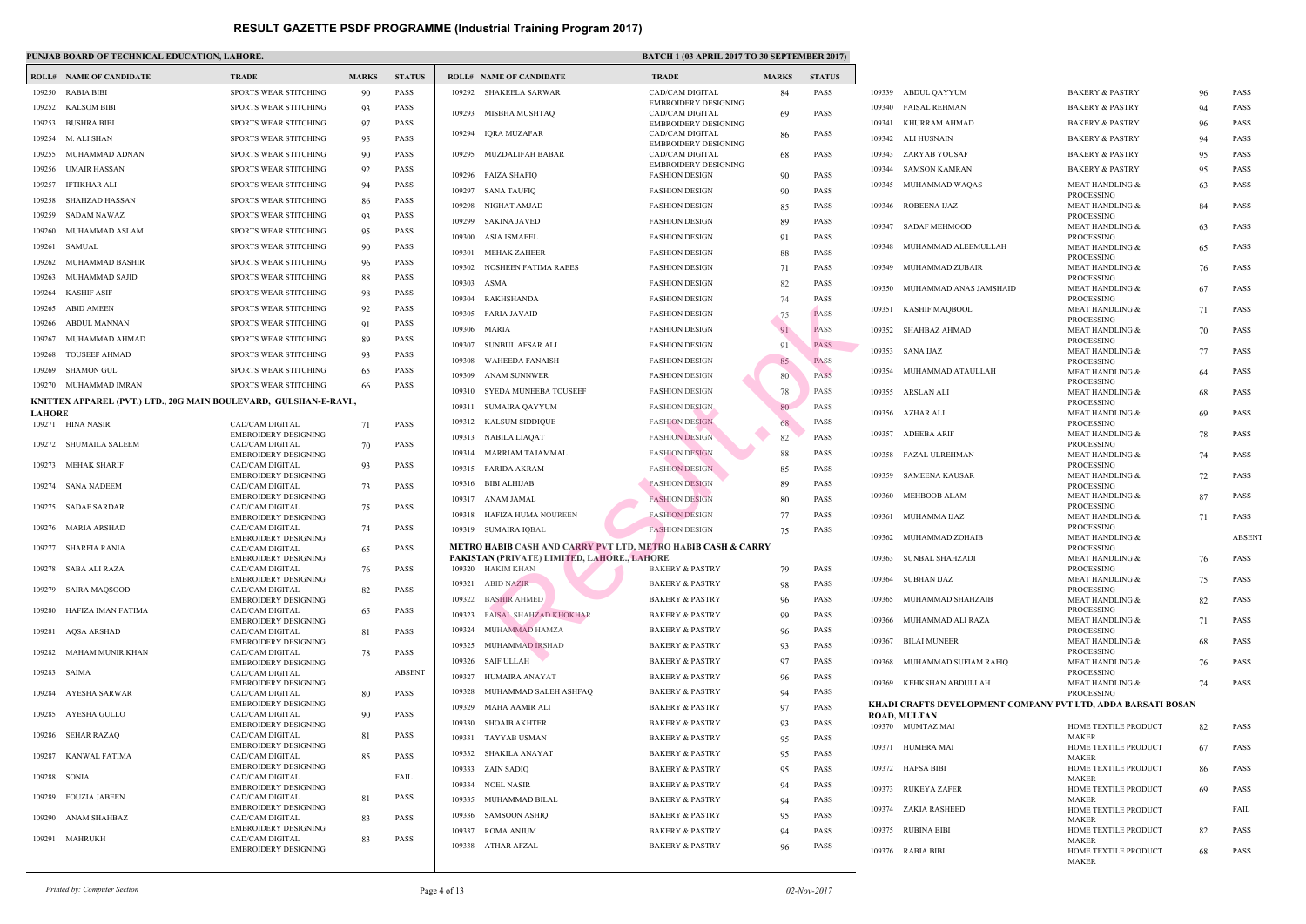|               | <b>ROLL# NAME OF CANDIDATE</b>                                    | <b>TRADE</b>                                   | <b>MARKS</b> | <b>STATUS</b> |        | <b>ROLL# NAME OF CANDIDATE</b>                                   | <b>TRAD</b>          |
|---------------|-------------------------------------------------------------------|------------------------------------------------|--------------|---------------|--------|------------------------------------------------------------------|----------------------|
| 109250        | RABIA BIBI                                                        | SPORTS WEAR STITCHING                          | 90           | <b>PASS</b>   | 109292 | SHAKEELA SARWAR                                                  | CAD/C                |
| 109252        | <b>KALSOM BIBI</b>                                                | SPORTS WEAR STITCHING                          | 93           | <b>PASS</b>   |        |                                                                  | <b>EMBR</b>          |
| 109253        | <b>BUSHRA BIBI</b>                                                | <b>SPORTS WEAR STITCHING</b>                   | 97           | <b>PASS</b>   | 109293 | MISBHA MUSHTAQ                                                   | CAD/C<br><b>EMBR</b> |
| 109254        | M. ALI SHAN                                                       | <b>SPORTS WEAR STITCHING</b>                   | 95           | <b>PASS</b>   | 109294 | IQRA MUZAFAR                                                     | CAD/C                |
| 109255        | MUHAMMAD ADNAN                                                    | <b>SPORTS WEAR STITCHING</b>                   | 90           | <b>PASS</b>   | 109295 | MUZDALIFAH BABAR                                                 | <b>EMBR</b><br>CAD/C |
| 109256        | UMAIR HASSAN                                                      | <b>SPORTS WEAR STITCHING</b>                   | 92           | <b>PASS</b>   |        |                                                                  | <b>EMBR</b>          |
| 109257        | IFTIKHAR ALI                                                      | <b>SPORTS WEAR STITCHING</b>                   | 94           | <b>PASS</b>   | 109296 | FAIZA SHAFIQ                                                     | <b>FASHI</b>         |
| 109258        | SHAHZAD HASSAN                                                    | <b>SPORTS WEAR STITCHING</b>                   | 86           | <b>PASS</b>   | 109297 | <b>SANA TAUFIQ</b>                                               | <b>FASHI</b>         |
| 109259        | SADAM NAWAZ                                                       | <b>SPORTS WEAR STITCHING</b>                   | 93           | <b>PASS</b>   | 109298 | NIGHAT AMJAD                                                     | <b>FASHI</b>         |
|               |                                                                   |                                                |              |               | 109299 | SAKINA JAVED                                                     | FASHI                |
| 109260        | MUHAMMAD ASLAM                                                    | <b>SPORTS WEAR STITCHING</b>                   | 95           | <b>PASS</b>   | 109300 | ASIA ISMAEEL                                                     | <b>FASHI</b>         |
| 109261        | SAMUAL                                                            | <b>SPORTS WEAR STITCHING</b>                   | 90           | <b>PASS</b>   | 109301 | MEHAK ZAHEER                                                     | FASHI                |
| 109262        | MUHAMMAD BASHIR                                                   | <b>SPORTS WEAR STITCHING</b>                   | 96           | <b>PASS</b>   | 109302 | NOSHEEN FATIMA RAEES                                             | FASHI                |
| 109263        | MUHAMMAD SAJID                                                    | <b>SPORTS WEAR STITCHING</b>                   | 88           | <b>PASS</b>   | 109303 | ASMA                                                             | <b>FASHI</b>         |
| 109264        | KASHIF ASIF                                                       | SPORTS WEAR STITCHING                          | 98           | <b>PASS</b>   | 109304 | RAKHSHANDA                                                       | <b>FASHI</b>         |
| 109265        | <b>ABID AMEEN</b>                                                 | <b>SPORTS WEAR STITCHING</b>                   | 92           | <b>PASS</b>   | 109305 | FARIA JAVAID                                                     | <b>FASHI</b>         |
| 109266        | ABDUL MANNAN                                                      | <b>SPORTS WEAR STITCHING</b>                   | 91           | <b>PASS</b>   | 109306 | MARIA                                                            | <b>FASHI</b>         |
| 109267        | MUHAMMAD AHMAD                                                    | <b>SPORTS WEAR STITCHING</b>                   | 89           | <b>PASS</b>   | 109307 | SUNBUL AFSAR ALI                                                 | FASHI                |
| 109268        | <b>TOUSEEF AHMAD</b>                                              | <b>SPORTS WEAR STITCHING</b>                   | 93           | <b>PASS</b>   | 109308 | <b>WAHEEDA FANAISH</b>                                           | <b>FASHI</b>         |
| 109269        | SHAMON GUL                                                        | <b>SPORTS WEAR STITCHING</b>                   | 65           | <b>PASS</b>   | 109309 | ANAM SUNNWER                                                     | FASHI                |
|               | 109270 MUHAMMAD IMRAN                                             | SPORTS WEAR STITCHING                          | 66           | <b>PASS</b>   | 109310 | SYEDA MUNEEBA TOUSEEF                                            | <b>FASHI</b>         |
|               | KNITTEX APPAREL (PVT.) LTD., 20G MAIN BOULEVARD, GULSHAN-E-RAVI., |                                                |              |               | 109311 | SUMAIRA QAYYUM                                                   | FASHI                |
| <b>LAHORE</b> |                                                                   |                                                |              |               | 109312 | KALSUM SIDDIQUE                                                  | FASHI                |
|               | 109271 HINA NASIR                                                 | CAD/CAM DIGITAL<br><b>EMBROIDERY DESIGNING</b> | 71           | <b>PASS</b>   | 109313 | NABILA LIAQAT                                                    | FASHI                |
| 109272        | SHUMAILA SALEEM                                                   | CAD/CAM DIGITAL                                | 70           | <b>PASS</b>   | 109314 | MARRIAM TAJAMMAL                                                 | FASHI                |
| 109273        | MEHAK SHARIF                                                      | <b>EMBROIDERY DESIGNING</b><br>CAD/CAM DIGITAL | 93           | <b>PASS</b>   |        |                                                                  |                      |
|               |                                                                   | <b>EMBROIDERY DESIGNING</b>                    |              |               | 109315 | FARIDA AKRAM                                                     | <b>FASHI</b>         |
| 109274        | SANA NADEEM                                                       | CAD/CAM DIGITAL<br><b>EMBROIDERY DESIGNING</b> | 73           | <b>PASS</b>   | 109316 | BIBI ALHIJAB                                                     | <b>FASHI</b>         |
| 109275        | <b>SADAF SARDAR</b>                                               | CAD/CAM DIGITAL                                | 75           | PASS          | 109317 | ANAM JAMAL                                                       | <b>FASHI</b>         |
|               |                                                                   | <b>EMBROIDERY DESIGNING</b>                    |              |               | 109318 | HAFIZA HUMA NOUREEN                                              | <b>FASHI</b>         |
| 109276        | MARIA ARSHAD                                                      | CAD/CAM DIGITAL<br><b>EMBROIDERY DESIGNING</b> | 74           | <b>PASS</b>   |        | 109319 SUMAIRA IQBAL                                             | <b>FASHI</b>         |
|               | 109277 SHARFIA RANIA                                              | CAD/CAM DIGITAL                                | 65           | <b>PASS</b>   |        | <b>METRO HABIB CASH AND CARRY PVT LTD, METRO</b>                 |                      |
|               | 109278 SABA ALI RAZA                                              | <b>EMBROIDERY DESIGNING</b><br>CAD/CAM DIGITAL | 76           | <b>PASS</b>   |        | PAKISTAN (PRIVATE) LIMITED, LAHORE., LAHORE<br>109320 HAKIM KHAN | <b>BAKE</b>          |
|               |                                                                   | <b>EMBROIDERY DESIGNING</b>                    |              |               | 109321 | <b>ABID NAZIR</b>                                                | <b>BAKE</b>          |
| 109279        | <b>SAIRA MAQSOOD</b>                                              | CAD/CAM DIGITAL<br><b>EMBROIDERY DESIGNING</b> | 82           | <b>PASS</b>   | 109322 | <b>BASHIR AHMED</b>                                              | <b>BAKE</b>          |
| 109280        | HAFIZA IMAN FATIMA                                                | CAD/CAM DIGITAL                                | 65           | PASS          | 109323 | FAISAL SHAHZAD KHOKHAR                                           | <b>BAKE</b>          |
|               |                                                                   | <b>EMBROIDERY DESIGNING</b>                    |              |               |        | MUHAMMAD HAMZA                                                   |                      |
| 109281        | <b>AQSA ARSHAD</b>                                                | CAD/CAM DIGITAL<br><b>EMBROIDERY DESIGNING</b> | 81           | <b>PASS</b>   | 109324 |                                                                  | <b>BAKE</b>          |
| 109282        | MAHAM MUNIR KHAN                                                  | CAD/CAM DIGITAL                                | 78           | PASS          | 109325 | MUHAMMAD IRSHAD                                                  | <b>BAKE</b>          |
| 109283        | SAIMA                                                             | <b>EMBROIDERY DESIGNING</b><br>CAD/CAM DIGITAL |              | <b>ABSENT</b> | 109326 | SAIF ULLAH                                                       | <b>BAKE</b>          |
|               |                                                                   | <b>EMBROIDERY DESIGNING</b>                    |              |               | 109327 | HUMAIRA ANAYAT                                                   | <b>BAKE</b>          |
| 109284        | AYESHA SARWAR                                                     | CAD/CAM DIGITAL                                | 80           | <b>PASS</b>   | 109328 | MUHAMMAD SALEH ASHFAQ                                            | <b>BAKE</b>          |
| 109285        | AYESHA GULLO                                                      | <b>EMBROIDERY DESIGNING</b><br>CAD/CAM DIGITAL | 90           | PASS          | 109329 | MAHA AAMIR ALI                                                   | <b>BAKE</b>          |
|               |                                                                   | <b>EMBROIDERY DESIGNING</b>                    |              |               | 109330 | <b>SHOAIB AKHTER</b>                                             | <b>BAKE</b>          |
| 109286        | <b>SEHAR RAZAQ</b>                                                | CAD/CAM DIGITAL<br><b>EMBROIDERY DESIGNING</b> | 81           | <b>PASS</b>   | 109331 | TAYYAB USMAN                                                     | <b>BAKE</b>          |
| 109287        | KANWAL FATIMA                                                     | CAD/CAM DIGITAL                                | 85           | PASS          | 109332 | SHAKILA ANAYAT                                                   | <b>BAKE</b>          |
|               |                                                                   | <b>EMBROIDERY DESIGNING</b>                    |              |               | 109333 | ZAIN SADIQ                                                       | <b>BAKE</b>          |
| 109288        | <b>SONIA</b>                                                      | CAD/CAM DIGITAL<br><b>EMBROIDERY DESIGNING</b> |              | FAIL          | 109334 | <b>NOEL NASIR</b>                                                | <b>BAKE</b>          |
| 109289        | <b>FOUZIA JABEEN</b>                                              | CAD/CAM DIGITAL                                | 81           | PASS          | 109335 | MUHAMMAD BILAL                                                   | <b>BAKE</b>          |
| 109290        | ANAM SHAHBAZ                                                      | <b>EMBROIDERY DESIGNING</b><br>CAD/CAM DIGITAL | 83           | PASS          | 109336 | <b>SAMSOON ASHIQ</b>                                             | <b>BAKE</b>          |
|               |                                                                   | <b>EMBROIDERY DESIGNING</b>                    |              |               | 109337 | <b>ROMA ANJUM</b>                                                | <b>BAKE</b>          |
|               | 109291 MAHRUKH                                                    | CAD/CAM DIGITAL<br><b>EMBROIDERY DESIGNING</b> | 83           | <b>PASS</b>   |        | 109338 ATHAR AFZAL                                               | <b>BAKE</b>          |
|               |                                                                   |                                                |              |               |        |                                                                  |                      |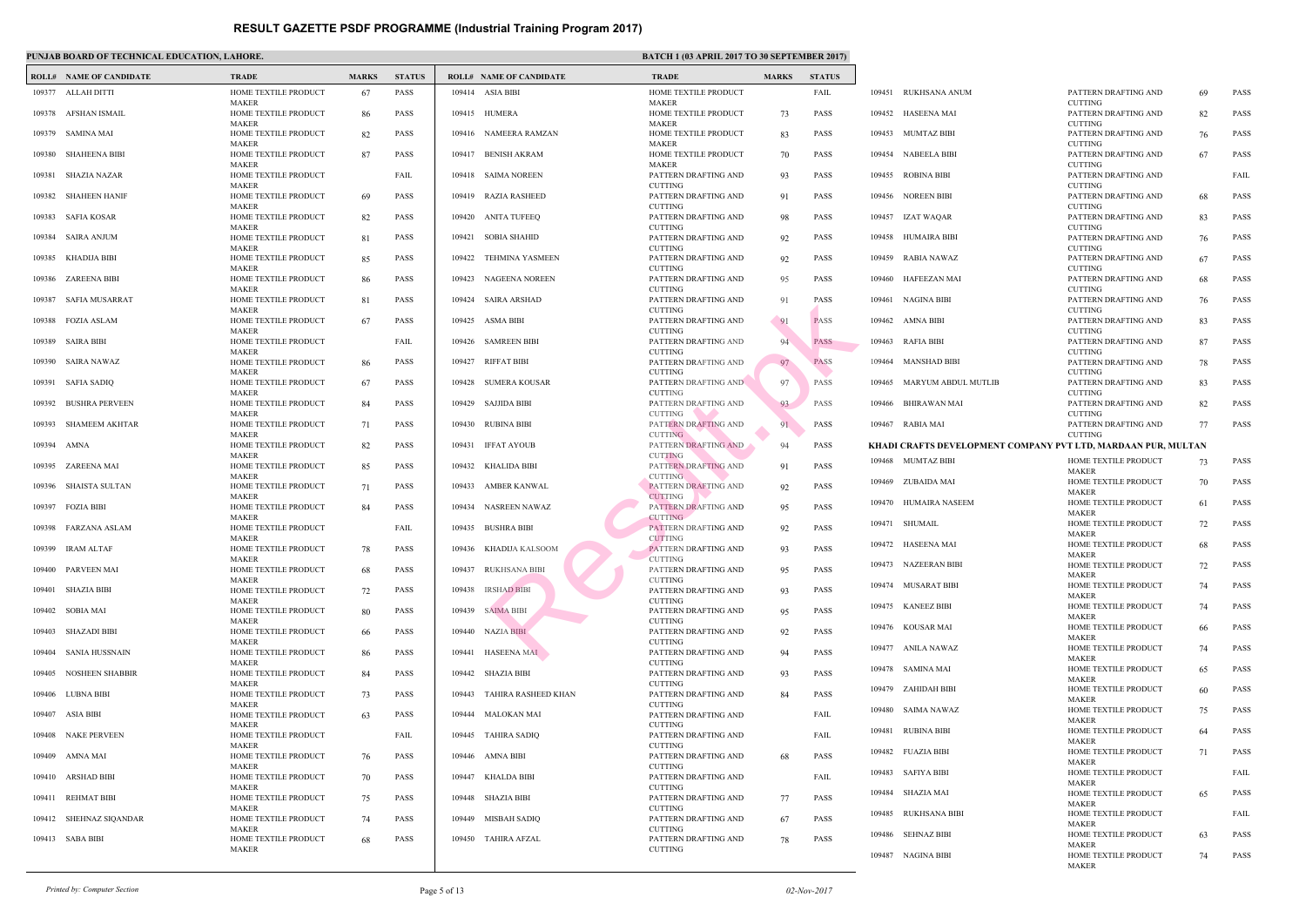|        | <b>ROLL# NAME OF CANDIDATE</b> | <b>TRADE</b>                                         | <b>MARKS</b> | <b>STATUS</b> |        | <b>ROLL# NAME OF CANDIDATE</b> | <b>TRAL</b>                                  |
|--------|--------------------------------|------------------------------------------------------|--------------|---------------|--------|--------------------------------|----------------------------------------------|
|        | 109377 ALLAH DITTI             | HOME TEXTILE PRODUCT                                 | 67           | <b>PASS</b>   |        | 109414 ASIA BIBI               | <b>HOME</b>                                  |
|        | 109378 AFSHAN ISMAIL           | MAKER<br>HOME TEXTILE PRODUCT<br><b>MAKER</b>        | 86           | <b>PASS</b>   |        | 109415 HUMERA                  | <b>MAKE</b><br><b>HOME</b><br><b>MAKE</b>    |
| 109379 | SAMINA MAI                     | HOME TEXTILE PRODUCT<br><b>MAKER</b>                 | 82           | PASS          | 109416 | NAMEERA RAMZAN                 | <b>HOME</b><br><b>MAKE</b>                   |
| 109380 | <b>SHAHEENA BIBI</b>           | HOME TEXTILE PRODUCT<br><b>MAKER</b>                 | 87           | PASS          | 109417 | <b>BENISH AKRAM</b>            | <b>HOME</b><br><b>MAKE</b>                   |
| 109381 | SHAZIA NAZAR                   | HOME TEXTILE PRODUCT                                 |              | FAIL          |        | 109418 SAIMA NOREEN            | <b>PATTE</b>                                 |
| 109382 | <b>SHAHEEN HANIF</b>           | <b>MAKER</b><br>HOME TEXTILE PRODUCT<br><b>MAKER</b> | 69           | PASS          | 109419 | <b>RAZIA RASHEED</b>           | <b>CUTTI</b><br><b>PATTE</b><br><b>CUTTI</b> |
| 109383 | SAFIA KOSAR                    | HOME TEXTILE PRODUCT<br><b>MAKER</b>                 | 82           | <b>PASS</b>   |        | 109420 ANITA TUFEEQ            | <b>PATTE</b><br><b>CUTTI</b>                 |
| 109384 | SAIRA ANJUM                    | HOME TEXTILE PRODUCT                                 | 81           | PASS          | 109421 | <b>SOBIA SHAHID</b>            | <b>PATTE</b><br><b>CUTTI</b>                 |
| 109385 | KHADIJA BIBI                   | <b>MAKER</b><br>HOME TEXTILE PRODUCT<br><b>MAKER</b> | 85           | PASS          | 109422 | TEHMINA YASMEEN                | <b>PATTE</b><br><b>CUTTI</b>                 |
| 109386 | ZAREENA BIBI                   | HOME TEXTILE PRODUCT<br><b>MAKER</b>                 | 86           | <b>PASS</b>   | 109423 | <b>NAGEENA NOREEN</b>          | <b>PATTE</b><br><b>CUTTI</b>                 |
| 109387 | SAFIA MUSARRAT                 | HOME TEXTILE PRODUCT<br><b>MAKER</b>                 | 81           | PASS          | 109424 | <b>SAIRA ARSHAD</b>            | <b>PATTE</b><br><b>CUTTI</b>                 |
| 109388 | <b>FOZIA ASLAM</b>             | HOME TEXTILE PRODUCT<br><b>MAKER</b>                 | 67           | <b>PASS</b>   | 109425 | ASMA BIBI                      | <b>PATTE</b><br><b>CUTTI</b>                 |
| 109389 | <b>SAIRA BIBI</b>              | HOME TEXTILE PRODUCT<br><b>MAKER</b>                 |              | FAIL          | 109426 | <b>SAMREEN BIBI</b>            | <b>PATTE</b><br><b>CUTTI</b>                 |
|        | 109390 SAIRA NAWAZ             | HOME TEXTILE PRODUCT<br><b>MAKER</b>                 | 86           | PASS          | 109427 | RIFFAT BIBI                    | <b>PATTE</b><br><b>CUTTI</b>                 |
|        | 109391 SAFIA SADIQ             | HOME TEXTILE PRODUCT<br>MAKER                        | 67           | PASS          | 109428 | SUMERA KOUSAR                  | <b>PATTE</b><br><b>CUTTI</b>                 |
| 109392 | <b>BUSHRA PERVEEN</b>          | HOME TEXTILE PRODUCT<br><b>MAKER</b>                 | 84           | PASS          | 109429 | SAJJIDA BIBI                   | <b>PATTE</b><br><b>CUTTI</b>                 |
| 109393 | <b>SHAMEEM AKHTAR</b>          | HOME TEXTILE PRODUCT<br><b>MAKER</b>                 | 71           | <b>PASS</b>   | 109430 | RUBINA BIBI                    | <b>PATTE</b><br><b>CUTTI</b>                 |
| 109394 | AMNA                           | HOME TEXTILE PRODUCT<br><b>MAKER</b>                 | 82           | PASS          | 109431 | <b>IFFAT AYOUB</b>             | PATTE<br><b>CUTTI</b>                        |
| 109395 | ZAREENA MAI                    | HOME TEXTILE PRODUCT<br><b>MAKER</b>                 | 85           | PASS          | 109432 | KHALIDA BIBI                   | PATTE<br><b>CUTTI</b>                        |
| 109396 | SHAISTA SULTAN                 | HOME TEXTILE PRODUCT<br><b>MAKER</b>                 | 71           | <b>PASS</b>   | 109433 | AMBER KANWAL                   | <b>PATTE</b><br><b>CUTTI</b>                 |
| 109397 | <b>FOZIA BIBI</b>              | HOME TEXTILE PRODUCT<br><b>MAKER</b>                 | 84           | <b>PASS</b>   |        | 109434 NASREEN NAWAZ           | <b>PATTE</b><br><b>CUTTI</b>                 |
| 109398 | FARZANA ASLAM                  | HOME TEXTILE PRODUCT<br><b>MAKER</b>                 |              | FAIL          | 109435 | <b>BUSHRA BIBI</b>             | PATTE<br><b>CUTTI</b>                        |
|        | 109399 IRAM ALTAF              | HOME TEXTILE PRODUCT<br>MAKER                        | 78           | PASS          |        | 109436 KHADIJA KALSOOM         | <b>PATTE</b><br><b>CUTTI</b>                 |
|        | 109400 PARVEEN MAI             | HOME TEXTILE PRODUCT<br>MAKER                        | 68           | <b>PASS</b>   | 109437 | <b>RUKHSANA BIBI</b>           | <b>PATTE</b><br><b>CUTTI</b>                 |
| 109401 | SHAZIA BIBI                    | HOME TEXTILE PRODUCT<br>MAKER                        | 72           | <b>PASS</b>   | 109438 | <b>IRSHAD BIBI</b>             | <b>PATTE</b><br><b>CUTTI</b>                 |
| 109402 | SOBIA MAI                      | HOME TEXTILE PRODUCT<br><b>MAKER</b>                 | 80           | <b>PASS</b>   | 109439 | <b>SAIMA BIBI</b>              | <b>PATTE</b><br><b>CUTTI</b>                 |
| 109403 | SHAZADI BIBI                   | HOME TEXTILE PRODUCT<br>MAKER                        | 66           | PASS          |        | 109440 NAZIA BIBI              | <b>PATTE</b><br><b>CUTTI</b>                 |
| 109404 | SANIA HUSSNAIN                 | HOME TEXTILE PRODUCT<br>MAKER                        | 86           | <b>PASS</b>   |        | 109441 HASEENA MAI             | <b>PATTE</b><br><b>CUTTI</b>                 |
| 109405 | <b>NOSHEEN SHABBIR</b>         | HOME TEXTILE PRODUCT<br>MAKER                        | 84           | PASS          |        | 109442 SHAZIA BIBI             | <b>PATTE</b><br><b>CUTTI</b>                 |
| 109406 | LUBNA BIBI                     | HOME TEXTILE PRODUCT<br>MAKER                        | 73           | PASS          | 109443 | TAHIRA RASHEED KHAN            | <b>PATTE</b><br><b>CUTTI</b>                 |
| 109407 | ASIA BIBI                      | HOME TEXTILE PRODUCT<br>MAKER                        | 63           | <b>PASS</b>   | 109444 | MALOKAN MAI                    | <b>PATTE</b><br><b>CUTTI</b>                 |
| 109408 | NAKE PERVEEN                   | HOME TEXTILE PRODUCT<br><b>MAKER</b>                 |              | FAIL          | 109445 | <b>TAHIRA SADIQ</b>            | PATTE<br><b>CUTTI</b>                        |
| 109409 | AMNA MAI                       | HOME TEXTILE PRODUCT<br>MAKER                        | 76           | <b>PASS</b>   | 109446 | AMNA BIBI                      | <b>PATTE</b><br><b>CUTTI</b>                 |
|        | 109410 ARSHAD BIBI             | HOME TEXTILE PRODUCT<br>MAKER                        | 70           | PASS          | 109447 | KHALDA BIBI                    | <b>PATTE</b><br><b>CUTTI</b>                 |
|        | 109411 REHMAT BIBI             | HOME TEXTILE PRODUCT<br>MAKER                        | 75           | PASS          |        | 109448 SHAZIA BIBI             | <b>PATTE</b><br><b>CUTTI</b>                 |
|        | 109412 SHEHNAZ SIQANDAR        | HOME TEXTILE PRODUCT<br><b>MAKER</b>                 | 74           | PASS          | 109449 | MISBAH SADIQ                   | <b>PATTE</b><br><b>CUTTI</b>                 |
|        | 109413 SABA BIBI               | HOME TEXTILE PRODUCT<br>MAKER                        | 68           | PASS          | 109450 | TAHIRA AFZAL                   | <b>PATTE</b><br><b>CUTTI</b>                 |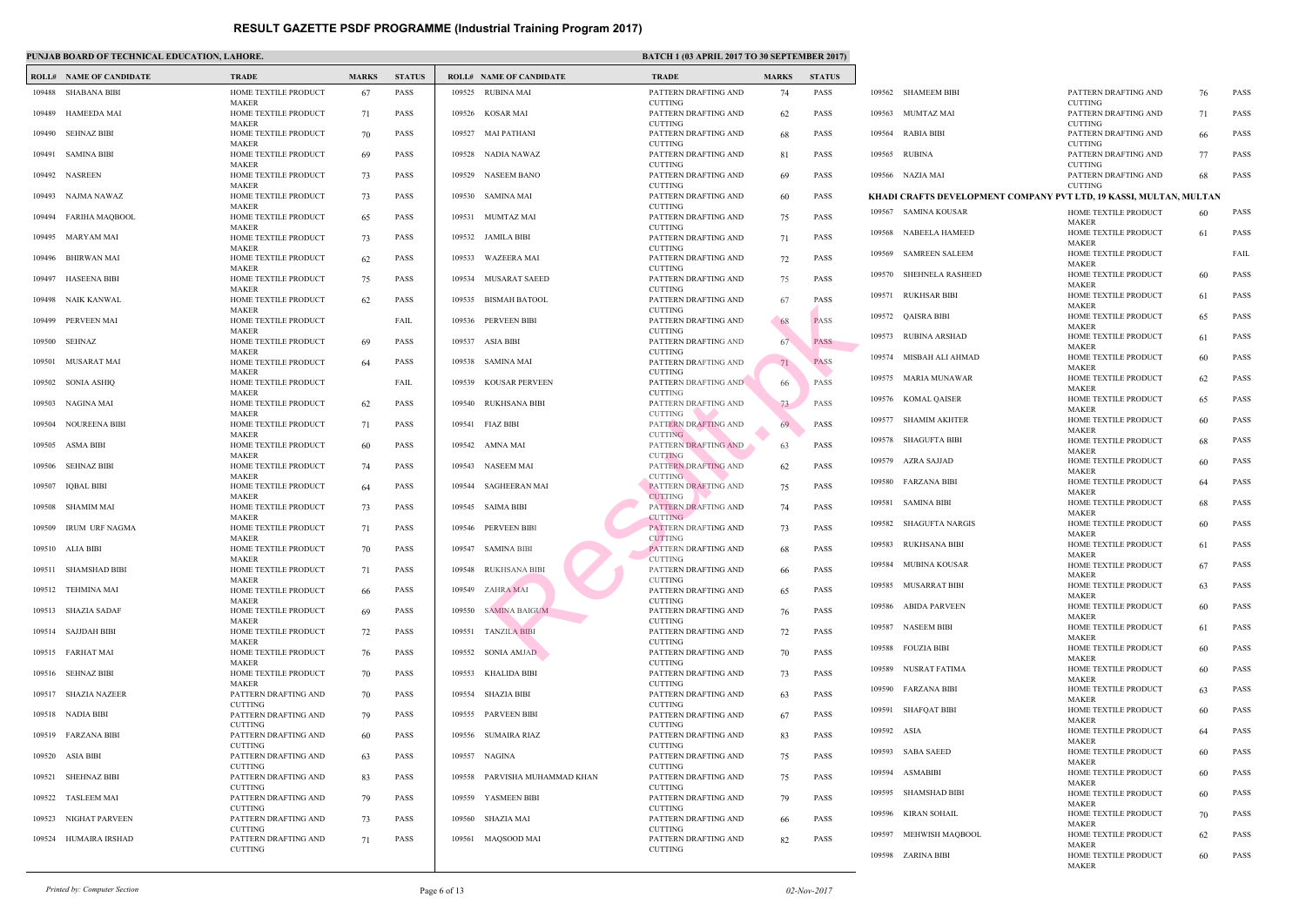|        | <b>ROLL# NAME OF CANDIDATE</b> | <b>TRADE</b>                                         | <b>MARKS</b> | <b>STATUS</b> |        | <b>ROLL# NAME OF CANDIDATE</b> | <b>TRAL</b>                                  |
|--------|--------------------------------|------------------------------------------------------|--------------|---------------|--------|--------------------------------|----------------------------------------------|
|        | 109488 SHABANA BIBI            | HOME TEXTILE PRODUCT                                 | 67           | <b>PASS</b>   |        | 109525 RUBINA MAI              | <b>PATTE</b>                                 |
|        | 109489 HAMEEDA MAI             | <b>MAKER</b><br>HOME TEXTILE PRODUCT<br><b>MAKER</b> | 71           | <b>PASS</b>   |        | 109526 KOSAR MAI               | <b>CUTTI</b><br><b>PATTE</b><br><b>CUTTI</b> |
|        | 109490 SEHNAZ BIBI             | HOME TEXTILE PRODUCT                                 | 70           | <b>PASS</b>   |        | 109527 MAI PATHANI             | <b>PATTE</b><br><b>CUTTI</b>                 |
| 109491 | SAMINA BIBI                    | <b>MAKER</b><br>HOME TEXTILE PRODUCT                 | 69           | <b>PASS</b>   |        | 109528 NADIA NAWAZ             | <b>PATTE</b>                                 |
| 109492 | NASREEN                        | <b>MAKER</b><br>HOME TEXTILE PRODUCT                 | 73           | PASS          | 109529 | NASEEM BANO                    | <b>CUTTI</b><br><b>PATTE</b>                 |
| 109493 | NAJMA NAWAZ                    | <b>MAKER</b><br>HOME TEXTILE PRODUCT                 | 73           | <b>PASS</b>   |        | 109530 SAMINA MAI              | <b>CUTTI</b><br><b>PATTE</b>                 |
| 109494 | FARIHA MAQBOOL                 | <b>MAKER</b><br>HOME TEXTILE PRODUCT<br><b>MAKER</b> | 65           | <b>PASS</b>   | 109531 | MUMTAZ MAI                     | <b>CUTTI</b><br><b>PATTE</b>                 |
| 109495 | MARYAM MAI                     | HOME TEXTILE PRODUCT                                 | 73           | <b>PASS</b>   |        | 109532 JAMILA BIBI             | <b>CUTTI</b><br><b>PATTE</b>                 |
| 109496 | BHIRWAN MAI                    | <b>MAKER</b><br>HOME TEXTILE PRODUCT                 | 62           | <b>PASS</b>   |        | 109533 WAZEERA MAI             | <b>CUTTI</b><br><b>PATTE</b>                 |
| 109497 | <b>HASEENA BIBI</b>            | <b>MAKER</b><br>HOME TEXTILE PRODUCT                 | 75           | <b>PASS</b>   | 109534 | <b>MUSARAT SAEED</b>           | <b>CUTTI</b><br><b>PATTE</b><br><b>CUTTI</b> |
| 109498 | NAIK KANWAL                    | <b>MAKER</b><br>HOME TEXTILE PRODUCT                 | 62           | PASS          | 109535 | <b>BISMAH BATOOL</b>           | <b>PATTE</b>                                 |
| 109499 | PERVEEN MAI                    | <b>MAKER</b><br>HOME TEXTILE PRODUCT                 |              | FAIL          |        | 109536 PERVEEN BIBI            | <b>CUTTI</b><br><b>PATTE</b>                 |
| 109500 | SEHNAZ                         | <b>MAKER</b><br>HOME TEXTILE PRODUCT                 | 69           | <b>PASS</b>   | 109537 | ASIA BIBI                      | <b>CUTTI</b><br><b>PATTE</b>                 |
|        | 109501 MUSARAT MAI             | <b>MAKER</b><br>HOME TEXTILE PRODUCT                 | 64           | <b>PASS</b>   |        | 109538 SAMINA MAI              | <b>CUTTI</b><br><b>PATTE</b>                 |
| 109502 | SONIA ASHIQ                    | <b>MAKER</b><br>HOME TEXTILE PRODUCT                 |              | FAIL          |        | 109539 KOUSAR PERVEEN          | <b>CUTTI</b><br><b>PATTE</b>                 |
| 109503 | NAGINA MAI                     | <b>MAKER</b><br>HOME TEXTILE PRODUCT                 | 62           | <b>PASS</b>   |        | 109540 RUKHSANA BIBI           | <b>CUTTI</b><br><b>PATTE</b>                 |
| 109504 | NOUREENA BIBI                  | <b>MAKER</b><br>HOME TEXTILE PRODUCT                 | 71           | <b>PASS</b>   |        | 109541 FIAZ BIBI               | <b>CUTTI</b><br><b>PATTE</b>                 |
| 109505 | ASMA BIBI                      | <b>MAKER</b><br>HOME TEXTILE PRODUCT                 | 60           | PASS          | 109542 | AMNA MAI                       | <b>CUTTI</b><br>PATTE                        |
| 109506 | SEHNAZ BIBI                    | <b>MAKER</b><br>HOME TEXTILE PRODUCT                 | 74           | <b>PASS</b>   |        | 109543 NASEEM MAI              | <b>CUTTI</b><br>PATTE                        |
| 109507 | IQBAL BIBI                     | <b>MAKER</b><br>HOME TEXTILE PRODUCT                 | 64           | <b>PASS</b>   | 109544 | <b>SAGHEERAN MAI</b>           | <b>CUTTI</b><br><b>PATTE</b>                 |
| 109508 | SHAMIM MAI                     | <b>MAKER</b><br>HOME TEXTILE PRODUCT                 | 73           | <b>PASS</b>   |        | 109545 SAIMA BIBI              | <b>CUTTI</b><br><b>PATTE</b>                 |
| 109509 | IRUM URF NAGMA                 | <b>MAKER</b><br>HOME TEXTILE PRODUCT                 | 71           | PASS          |        | 109546 PERVEEN BIBI            | <b>CUTTI</b><br><b>PATTE</b>                 |
|        | 109510 ALIA BIBI               | <b>MAKER</b><br>HOME TEXTILE PRODUCT                 | 70           | <b>PASS</b>   |        | 109547 SAMINA BIBI             | <b>CUTTI</b><br><b>PATTE</b>                 |
|        | 109511 SHAMSHAD BIBI           | <b>MAKER</b><br>HOME TEXTILE PRODUCT                 | 71           | <b>PASS</b>   |        | 109548 RUKHSANA BIBI           | <b>CUTT</b><br><b>PATTE</b>                  |
|        | 109512 TEHMINA MAI             | <b>MAKER</b><br>HOME TEXTILE PRODUCT                 | 66           | PASS          |        | 109549 ZAHRA MAI               | <b>CUTTI</b><br><b>PATTE</b>                 |
|        | 109513 SHAZIA SADAF            | <b>MAKER</b><br>HOME TEXTILE PRODUCT                 | 69           | <b>PASS</b>   |        | 109550 SAMINA BAIGUM           | <b>CUTTI</b><br><b>PATTE</b>                 |
|        | 109514 SAJJDAH BIBI            | <b>MAKER</b><br>HOME TEXTILE PRODUCT                 | 72           | PASS          | 109551 | <b>TANZILA BIBI</b>            | <b>CUTTI</b><br><b>PATTE</b>                 |
|        | 109515 FARHAT MAI              | <b>MAKER</b><br>HOME TEXTILE PRODUCT                 | 76           | PASS          | 109552 | <b>SONIA AMJAD</b>             | <b>CUTTI</b><br><b>PATTE</b>                 |
|        | 109516 SEHNAZ BIBI             | <b>MAKER</b><br>HOME TEXTILE PRODUCT                 | 70           | <b>PASS</b>   |        | 109553 KHALIDA BIBI            | <b>CUTTI</b><br><b>PATTE</b>                 |
|        | 109517 SHAZIA NAZEER           | <b>MAKER</b><br>PATTERN DRAFTING AND                 | 70           | PASS          | 109554 | SHAZIA BIBI                    | <b>CUTTI</b><br><b>PATTE</b>                 |
|        | 109518 NADIA BIBI              | <b>CUTTING</b>                                       |              | PASS          |        | 109555 PARVEEN BIBI            | <b>CUTTI</b><br><b>PATTE</b>                 |
|        |                                | PATTERN DRAFTING AND<br><b>CUTTING</b>               | 79           |               |        |                                | <b>CUTTI</b>                                 |
|        | 109519 FARZANA BIBI            | PATTERN DRAFTING AND<br><b>CUTTING</b>               | 60           | PASS          |        | 109556 SUMAIRA RIAZ            | <b>PATTE</b><br><b>CUTTI</b>                 |
| 109520 | ASIA BIBI                      | PATTERN DRAFTING AND<br><b>CUTTING</b>               | 63           | PASS          |        | 109557 NAGINA                  | <b>PATTE</b><br><b>CUTTI</b>                 |
|        | 109521 SHEHNAZ BIBI            | PATTERN DRAFTING AND<br><b>CUTTING</b>               | 83           | <b>PASS</b>   |        | 109558 PARVISHA MUHAMMAD KHAN  | <b>PATTE</b><br><b>CUTTI</b>                 |
| 109522 | TASLEEM MAI                    | PATTERN DRAFTING AND<br><b>CUTTING</b>               | 79           | PASS          |        | 109559 YASMEEN BIBI            | <b>PATTE</b><br><b>CUTTI</b>                 |
| 109523 | NIGHAT PARVEEN                 | PATTERN DRAFTING AND<br><b>CUTTING</b>               | 73           | <b>PASS</b>   |        | 109560 SHAZIA MAI              | <b>PATTE</b><br><b>CUTTI</b>                 |
|        | 109524 HUMAIRA IRSHAD          | PATTERN DRAFTING AND<br><b>CUTTING</b>               | 71           | PASS          |        | 109561 MAQSOOD MAI             | <b>PATTE</b><br><b>CUTTI</b>                 |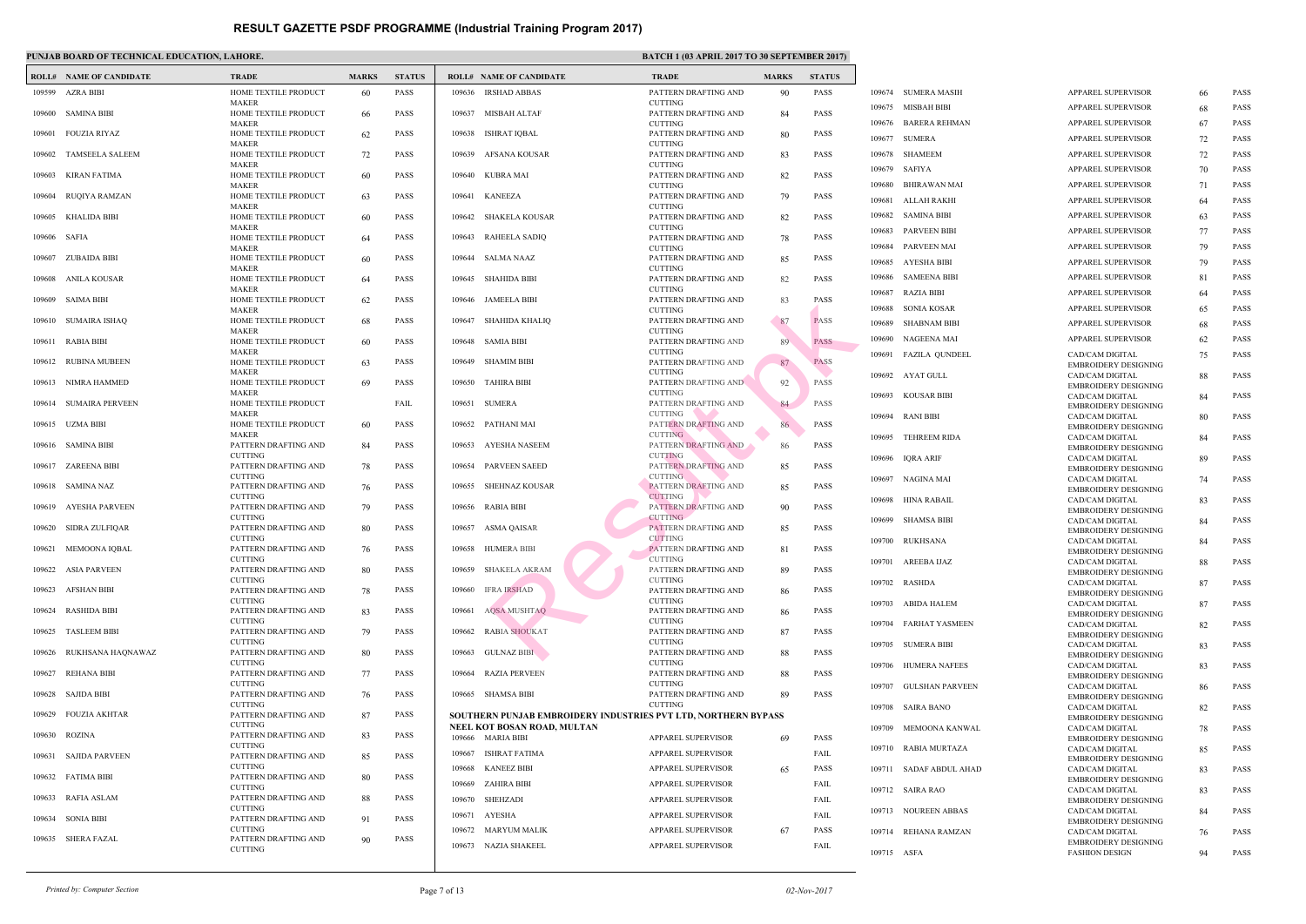|              | <b>ROLL# NAME OF CANDIDATE</b> | <b>TRADE</b>                                         | <b>MARKS</b> | <b>STATUS</b> |                  | <b>ROLL# NAME OF CANDIDATE</b>                   | <b>TRAL</b>                                  |
|--------------|--------------------------------|------------------------------------------------------|--------------|---------------|------------------|--------------------------------------------------|----------------------------------------------|
|              | 109599 AZRA BIBI               | HOME TEXTILE PRODUCT                                 | 60           | PASS          |                  | 109636 IRSHAD ABBAS                              | <b>PATTE</b>                                 |
|              | 109600 SAMINA BIBI             | <b>MAKER</b><br>HOME TEXTILE PRODUCT<br><b>MAKER</b> | 66           | <b>PASS</b>   |                  | 109637 MISBAH ALTAF                              | <b>CUTTI</b><br><b>PATTE</b><br><b>CUTTI</b> |
| 109601       | FOUZIA RIYAZ                   | HOME TEXTILE PRODUCT<br><b>MAKER</b>                 | 62           | PASS          | 109638           | <b>ISHRAT IQBAL</b>                              | <b>PATTE</b><br><b>CUTTI</b>                 |
| 109602       | TAMSEELA SALEEM                | HOME TEXTILE PRODUCT                                 | 72           | <b>PASS</b>   | 109639           | AFSANA KOUSAR                                    | <b>PATTE</b>                                 |
| 109603       | KIRAN FATIMA                   | <b>MAKER</b><br>HOME TEXTILE PRODUCT                 | 60           | <b>PASS</b>   | 109640           | KUBRA MAI                                        | <b>CUTTI</b><br>PATTE                        |
| 109604       | RUQIYA RAMZAN                  | <b>MAKER</b><br>HOME TEXTILE PRODUCT                 | 63           | <b>PASS</b>   | 109641           | KANEEZA                                          | <b>CUTTI</b><br>PATTE                        |
| 109605       | KHALIDA BIBI                   | <b>MAKER</b><br>HOME TEXTILE PRODUCT<br><b>MAKER</b> | 60           | <b>PASS</b>   |                  | 109642 SHAKELA KOUSAR                            | <b>CUTTI</b><br><b>PATTE</b><br><b>CUTTI</b> |
| 109606 SAFIA |                                | HOME TEXTILE PRODUCT<br><b>MAKER</b>                 | 64           | <b>PASS</b>   | 109643           | RAHEELA SADIQ                                    | <b>PATTE</b><br><b>CUTTI</b>                 |
| 109607       | ZUBAIDA BIBI                   | HOME TEXTILE PRODUCT<br><b>MAKER</b>                 | 60           | <b>PASS</b>   |                  | 109644 SALMA NAAZ                                | <b>PATTE</b><br><b>CUTTI</b>                 |
| 109608       | ANILA KOUSAR                   | HOME TEXTILE PRODUCT<br><b>MAKER</b>                 | 64           | <b>PASS</b>   | 109645           | SHAHIDA BIBI                                     | <b>PATTE</b><br><b>CUTTI</b>                 |
| 109609       | SAIMA BIBI                     | HOME TEXTILE PRODUCT<br><b>MAKER</b>                 | 62           | <b>PASS</b>   | 109646           | JAMEELA BIBI                                     | <b>PATTE</b><br><b>CUTTI</b>                 |
| 109610       | SUMAIRA ISHAQ                  | HOME TEXTILE PRODUCT<br><b>MAKER</b>                 | 68           | <b>PASS</b>   | 109647           | SHAHIDA KHALIQ                                   | <b>PATTE</b><br><b>CUTTI</b>                 |
|              | 109611 RABIA BIBI              | HOME TEXTILE PRODUCT<br><b>MAKER</b>                 | 60           | <b>PASS</b>   | 109648           | <b>SAMIA BIBI</b>                                | <b>PATTE</b><br><b>CUTTI</b>                 |
| 109612       | RUBINA MUBEEN                  | HOME TEXTILE PRODUCT<br><b>MAKER</b>                 | 63           | <b>PASS</b>   |                  | 109649 SHAMIM BIBI                               | <b>PATTE</b><br><b>CUTTI</b>                 |
|              | 109613 NIMRA HAMMED            | HOME TEXTILE PRODUCT<br><b>MAKER</b>                 | 69           | <b>PASS</b>   |                  | 109650 TAHIRA BIBI                               | <b>PATTE</b><br><b>CUTTI</b>                 |
| 109614       | <b>SUMAIRA PERVEEN</b>         | HOME TEXTILE PRODUCT<br><b>MAKER</b>                 |              | FAIL          |                  | 109651 SUMERA                                    | <b>PATTE</b><br><b>CUTTI</b>                 |
|              | 109615 UZMA BIBI               | HOME TEXTILE PRODUCT<br><b>MAKER</b>                 | 60           | <b>PASS</b>   | 109652           | PATHANI MAI                                      | <b>PATTE</b><br><b>CUTTI</b>                 |
| 109616       | SAMINA BIBI                    | PATTERN DRAFTING AND<br><b>CUTTING</b>               | 84           | PASS          | 109653           | AYESHA NASEEM                                    | PATTE<br><b>CUTTI</b>                        |
| 109617       | ZAREENA BIBI                   | PATTERN DRAFTING AND<br><b>CUTTING</b>               | 78           | <b>PASS</b>   | 109654           | <b>PARVEEN SAEED</b>                             | PATTE<br><b>CUTTI</b>                        |
|              | 109618 SAMINA NAZ              | PATTERN DRAFTING AND<br><b>CUTTING</b>               | 76           | <b>PASS</b>   | 109655           | SHEHNAZ KOUSAR                                   | <b>PATTE</b><br><b>CUTTI</b>                 |
| 109619       | AYESHA PARVEEN                 | PATTERN DRAFTING AND<br><b>CUTTING</b>               | 79           | <b>PASS</b>   |                  | 109656 RABIA BIBI                                | <b>PATTE</b><br><b>CUTTI</b>                 |
| 109620       | SIDRA ZULFIQAR                 | PATTERN DRAFTING AND<br><b>CUTTING</b>               | 80           | <b>PASS</b>   | 109657           | ASMA QAISAR                                      | <b>PATTE</b><br><b>CUTTI</b>                 |
|              | 109621 MEMOONA IQBAL           | PATTERN DRAFTING AND<br><b>CUTTING</b>               | 76           | <b>PASS</b>   |                  | 109658 HUMERA BIBI                               | <b>PATTE</b><br><b>CUTTI</b>                 |
|              | 109622 ASIA PARVEEN            | PATTERN DRAFTING AND<br><b>CUTTING</b>               | 80           | PASS          | 109659           | <b>SHAKELA AKRAM</b>                             | <b>PATTE</b><br><b>CUTTI</b>                 |
| 109623       | AFSHAN BIBI                    | PATTERN DRAFTING AND<br><b>CUTTING</b>               | 78           | PASS          | 109660           | <b>IFRA IRSHAD</b>                               | <b>PATTE</b><br><b>CUTTI</b>                 |
| 109624       | <b>RASHIDA BIBI</b>            | PATTERN DRAFTING AND<br><b>CUTTING</b>               | 83           | PASS          | 109661           | <b>AQSA MUSHTAQ</b>                              | <b>PATTE</b><br><b>CUTTI</b>                 |
| 109625       | <b>TASLEEM BIBI</b>            | PATTERN DRAFTING AND<br><b>CUTTING</b>               | 79           | <b>PASS</b>   | 109662           | <b>RABIA SHOUKAT</b>                             | <b>PATTE</b><br><b>CUTTI</b>                 |
| 109626       | RUKHSANA HAQNAWAZ              | PATTERN DRAFTING AND<br><b>CUTTING</b>               | 80           | <b>PASS</b>   | 109663           | <b>GULNAZ BIBI</b>                               | <b>PATTE</b><br><b>CUTTI</b>                 |
| 109627       | <b>REHANA BIBI</b>             | PATTERN DRAFTING AND<br><b>CUTTING</b>               | 77           | <b>PASS</b>   | 109664           | <b>RAZIA PERVEEN</b>                             | <b>PATTE</b><br><b>CUTTI</b>                 |
| 109628       | SAJIDA BIBI                    | PATTERN DRAFTING AND<br><b>CUTTING</b>               | 76           | PASS          |                  | 109665 SHAMSA BIBI                               | <b>PATTE</b><br><b>CUTTI</b>                 |
| 109629       | FOUZIA AKHTAR                  | PATTERN DRAFTING AND<br><b>CUTTING</b>               | 87           | <b>PASS</b>   |                  | <b>SOUTHERN PUNJAB EMBROIDERY INDUSTRIES PVT</b> |                                              |
| 109630       | ROZINA                         | PATTERN DRAFTING AND<br><b>CUTTING</b>               | 83           | PASS          |                  | NEEL KOT BOSAN ROAD, MULTAN<br>109666 MARIA BIBI | <b>APPAF</b>                                 |
| 109631       | <b>SAJIDA PARVEEN</b>          | PATTERN DRAFTING AND<br><b>CUTTING</b>               | 85           | PASS          | 109667           | <b>ISHRAT FATIMA</b>                             | <b>APPAF</b>                                 |
|              | 109632 FATIMA BIBI             | PATTERN DRAFTING AND<br><b>CUTTING</b>               | 80           | PASS          | 109668<br>109669 | <b>KANEEZ BIBI</b><br>ZAHIRA BIBI                | <b>APPAF</b><br><b>APPAF</b>                 |
| 109633       | RAFIA ASLAM                    | PATTERN DRAFTING AND<br><b>CUTTING</b>               | 88           | PASS          | 109670           | <b>SHEHZADI</b>                                  | <b>APPAF</b>                                 |
| 109634       | <b>SONIA BIBI</b>              | PATTERN DRAFTING AND                                 | 91           | PASS          | 109671           | AYESHA                                           | <b>APPAF</b>                                 |
| 109635       | SHERA FAZAL                    | <b>CUTTING</b><br>PATTERN DRAFTING AND               | 90           | PASS          |                  | 109672 MARYUM MALIK<br>109673 NAZIA SHAKEEL      | <b>APPAF</b><br><b>APPAF</b>                 |
|              |                                | <b>CUTTING</b>                                       |              |               |                  |                                                  |                                              |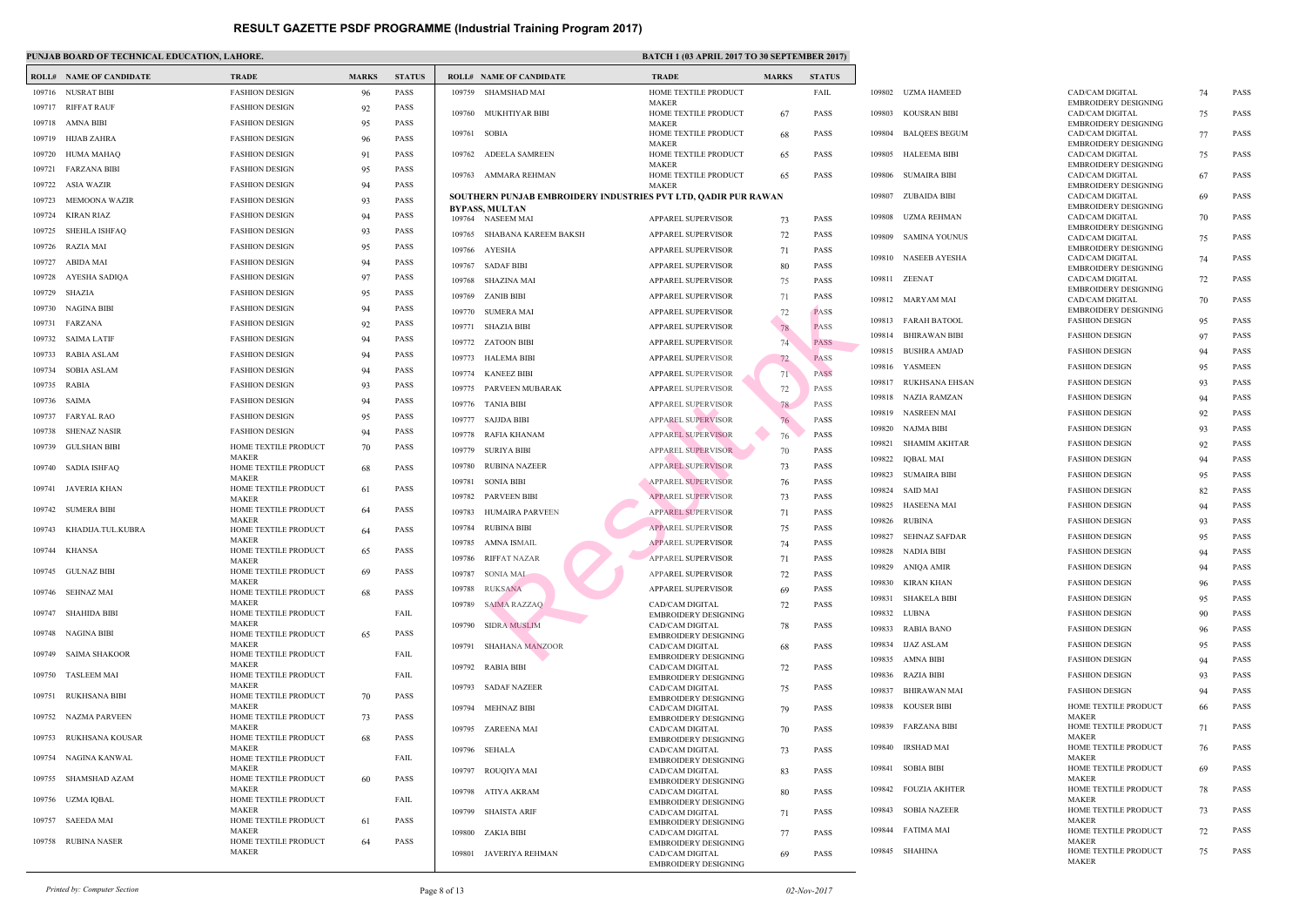EMBR

|        | <b>ROLL# NAME OF CANDIDATE</b> | <b>TRADE</b>                         | <b>MARKS</b> | <b>STATUS</b> |        | <b>ROLL# NAME OF CANDIDATE</b>                   | <b>TRAD</b>                |
|--------|--------------------------------|--------------------------------------|--------------|---------------|--------|--------------------------------------------------|----------------------------|
|        | 109716 NUSRAT BIBI             | <b>FASHION DESIGN</b>                | 96           | <b>PASS</b>   |        | 109759 SHAMSHAD MAI                              | <b>HOME</b>                |
| 109717 | <b>RIFFAT RAUF</b>             | <b>FASHION DESIGN</b>                | 92           | <b>PASS</b>   |        | 109760 MUKHTIYAR BIBI                            | <b>MAKE</b><br><b>HOME</b> |
| 109718 | AMNA BIBI                      | <b>FASHION DESIGN</b>                | 95           | <b>PASS</b>   |        |                                                  | <b>MAKE</b>                |
| 109719 | HIJAB ZAHRA                    | <b>FASHION DESIGN</b>                | 96           | <b>PASS</b>   | 109761 | <b>SOBIA</b>                                     | <b>HOME</b><br><b>MAKE</b> |
| 109720 | HUMA MAHAQ                     | <b>FASHION DESIGN</b>                | 91           | <b>PASS</b>   | 109762 | ADEELA SAMREEN                                   | <b>HOME</b>                |
| 109721 | <b>FARZANA BIBI</b>            | <b>FASHION DESIGN</b>                | 95           | <b>PASS</b>   | 109763 | AMMARA REHMAN                                    | <b>MAKE</b><br><b>HOME</b> |
| 109722 | ASIA WAZIR                     | <b>FASHION DESIGN</b>                | 94           | <b>PASS</b>   |        |                                                  | <b>MAKE</b>                |
| 109723 | <b>MEMOONA WAZIR</b>           | <b>FASHION DESIGN</b>                | 93           | <b>PASS</b>   |        | <b>SOUTHERN PUNJAB EMBROIDERY INDUSTRIES PVT</b> |                            |
| 109724 | KIRAN RIAZ                     | <b>FASHION DESIGN</b>                | 94           | <b>PASS</b>   |        | <b>BYPASS, MULTAN</b><br>109764 NASEEM MAI       | <b>APPAF</b>               |
| 109725 | <b>SHEHLA ISHFAQ</b>           | <b>FASHION DESIGN</b>                | 93           | <b>PASS</b>   | 109765 | SHABANA KAREEM BAKSH                             | <b>APPAF</b>               |
| 109726 | RAZIA MAI                      | <b>FASHION DESIGN</b>                | 95           | <b>PASS</b>   |        | 109766 AYESHA                                    | <b>APPAF</b>               |
| 109727 | <b>ABIDA MAI</b>               | <b>FASHION DESIGN</b>                | 94           | <b>PASS</b>   | 109767 | <b>SADAF BIBI</b>                                | <b>APPAF</b>               |
| 109728 | AYESHA SADIQA                  | <b>FASHION DESIGN</b>                | 97           | <b>PASS</b>   | 109768 | <b>SHAZINA MAI</b>                               | <b>APPAF</b>               |
| 109729 | SHAZIA                         | <b>FASHION DESIGN</b>                | 95           | <b>PASS</b>   | 109769 | <b>ZANIB BIBI</b>                                | <b>APPAF</b>               |
| 109730 | NAGINA BIBI                    | <b>FASHION DESIGN</b>                | 94           | <b>PASS</b>   | 109770 | <b>SUMERA MAI</b>                                | <b>APPAF</b>               |
| 109731 | FARZANA                        | <b>FASHION DESIGN</b>                | 92           | <b>PASS</b>   | 109771 | <b>SHAZIA BIBI</b>                               | <b>APPAF</b>               |
| 109732 | <b>SAIMA LATIF</b>             | <b>FASHION DESIGN</b>                | 94           | <b>PASS</b>   |        | 109772 ZATOON BIBI                               | <b>APPAF</b>               |
| 109733 | <b>RABIA ASLAM</b>             | <b>FASHION DESIGN</b>                | 94           | <b>PASS</b>   | 109773 | HALEMA BIBI                                      | APPAF                      |
| 109734 | <b>SOBIA ASLAM</b>             | <b>FASHION DESIGN</b>                | 94           | <b>PASS</b>   | 109774 | <b>KANEEZ BIBI</b>                               | <b>APPAF</b>               |
| 109735 | RABIA                          | <b>FASHION DESIGN</b>                | 93           | <b>PASS</b>   | 109775 | PARVEEN MUBARAK                                  | <b>APPAF</b>               |
| 109736 | SAIMA                          | <b>FASHION DESIGN</b>                | 94           | <b>PASS</b>   | 109776 | <b>TANIA BIBI</b>                                | <b>APPAF</b>               |
| 109737 | <b>FARYAL RAO</b>              | <b>FASHION DESIGN</b>                | 95           | <b>PASS</b>   | 109777 | <b>SAJJDA BIBI</b>                               | <b>APPAF</b>               |
| 109738 | <b>SHENAZ NASIR</b>            | <b>FASHION DESIGN</b>                | 94           | <b>PASS</b>   | 109778 | RAFIA KHANAM                                     | <b>APPAF</b>               |
| 109739 | <b>GULSHAN BIBI</b>            | HOME TEXTILE PRODUCT                 | 70           | <b>PASS</b>   | 109779 | <b>SURIYA BIBI</b>                               | <b>APPAF</b>               |
| 109740 | SADIA ISHFAQ                   | <b>MAKER</b><br>HOME TEXTILE PRODUCT | 68           | <b>PASS</b>   | 109780 | <b>RUBINA NAZEER</b>                             | APPAF                      |
|        |                                | <b>MAKER</b>                         |              |               | 109781 | <b>SONIA BIBI</b>                                | APPAF                      |
| 109741 | JAVERIA KHAN                   | HOME TEXTILE PRODUCT<br><b>MAKER</b> | 61           | <b>PASS</b>   | 109782 | <b>PARVEEN BIBI</b>                              | <b>APPAF</b>               |
| 109742 | <b>SUMERA BIBI</b>             | HOME TEXTILE PRODUCT<br><b>MAKER</b> | 64           | <b>PASS</b>   | 109783 | HUMAIRA PARVEEN                                  | <b>APPAF</b>               |
| 109743 | KHADIJA.TUL.KUBRA              | HOME TEXTILE PRODUCT                 | 64           | <b>PASS</b>   | 109784 | <b>RUBINA BIBI</b>                               | <b>APPAF</b>               |
|        | 109744 KHANSA                  | <b>MAKER</b>                         |              |               | 109785 | AMNA ISMAIL                                      | <b>APPAF</b>               |
|        |                                | HOME TEXTILE PRODUCT<br><b>MAKER</b> | 65           | <b>PASS</b>   | 109786 | <b>RIFFAT NAZAR</b>                              | APPAI                      |
|        | 109745 GULNAZ BIBI             | HOME TEXTILE PRODUCT                 | 69           | <b>PASS</b>   | 109787 | <b>SONIA MAI</b>                                 | <b>APPAF</b>               |
|        | 109746 SEHNAZ MAI              | <b>MAKER</b><br>HOME TEXTILE PRODUCT | 68           | <b>PASS</b>   | 109788 | <b>RUKSANA</b>                                   | <b>APPAF</b>               |
|        | 109747 SHAHIDA BIBI            | MAKER                                |              | FAIL          | 109789 | <b>SAIMA RAZZAO</b>                              | CAD/C                      |
|        |                                | HOME TEXTILE PRODUCT<br><b>MAKER</b> |              |               |        | 109790 SIDRA MUSLIM                              | <b>EMBR</b><br>CAD/C       |
|        | 109748 NAGINA BIBI             | HOME TEXTILE PRODUCT                 | 65           | <b>PASS</b>   |        |                                                  | <b>EMBR</b>                |
|        | 109749 SAIMA SHAKOOR           | <b>MAKER</b><br>HOME TEXTILE PRODUCT |              | FAIL          | 109791 | SHAHANA MANZOOR                                  | CAD/C<br><b>EMBR</b>       |
|        |                                | <b>MAKER</b>                         |              |               | 109792 | RABIA BIBI                                       | CAD/C                      |
|        | 109750 TASLEEM MAI             | HOME TEXTILE PRODUCT<br><b>MAKER</b> |              | FAIL          | 109793 | <b>SADAF NAZEER</b>                              | <b>EMBR</b><br>CAD/C       |
| 109751 | RUKHSANA BIBI                  | HOME TEXTILE PRODUCT<br><b>MAKER</b> | 70           | PASS          |        |                                                  | <b>EMBR</b>                |
|        | 109752 NAZMA PARVEEN           | HOME TEXTILE PRODUCT                 | 73           | PASS          | 109794 | MEHNAZ BIBI                                      | CAD/C<br><b>EMBR</b>       |
|        |                                | <b>MAKER</b>                         |              |               | 109795 | ZAREENA MAI                                      | CAD/C                      |
| 109753 | RUKHSANA KOUSAR                | HOME TEXTILE PRODUCT<br><b>MAKER</b> | 68           | <b>PASS</b>   |        | 109796 SEHALA                                    | <b>EMBR</b><br>CAD/C       |
|        | 109754 NAGINA KANWAL           | HOME TEXTILE PRODUCT                 |              | FAIL          |        |                                                  | <b>EMBR</b>                |
| 109755 | SHAMSHAD AZAM                  | <b>MAKER</b><br>HOME TEXTILE PRODUCT | 60           | <b>PASS</b>   |        | 109797 ROUQIYA MAI                               | CAD/C<br><b>EMBR</b>       |
|        |                                | <b>MAKER</b>                         |              |               |        | 109798 ATIYA AKRAM                               | CAD/C                      |
|        | 109756 UZMA IQBAL              | HOME TEXTILE PRODUCT<br><b>MAKER</b> |              | FAIL          | 109799 | SHAISTA ARIF                                     | <b>EMBR</b><br>CAD/C       |
| 109757 | <b>SAEEDA MAI</b>              | HOME TEXTILE PRODUCT                 | 61           | PASS          |        |                                                  | <b>EMBR</b>                |
|        | 109758 RUBINA NASER            | <b>MAKER</b><br>HOME TEXTILE PRODUCT | 64           | <b>PASS</b>   |        | 109800 ZAKIA BIBI                                | CAD/C<br><b>EMBR</b>       |
|        |                                | <b>MAKER</b>                         |              |               |        | 109801 JAVERIYA REHMAN                           | CAD/C                      |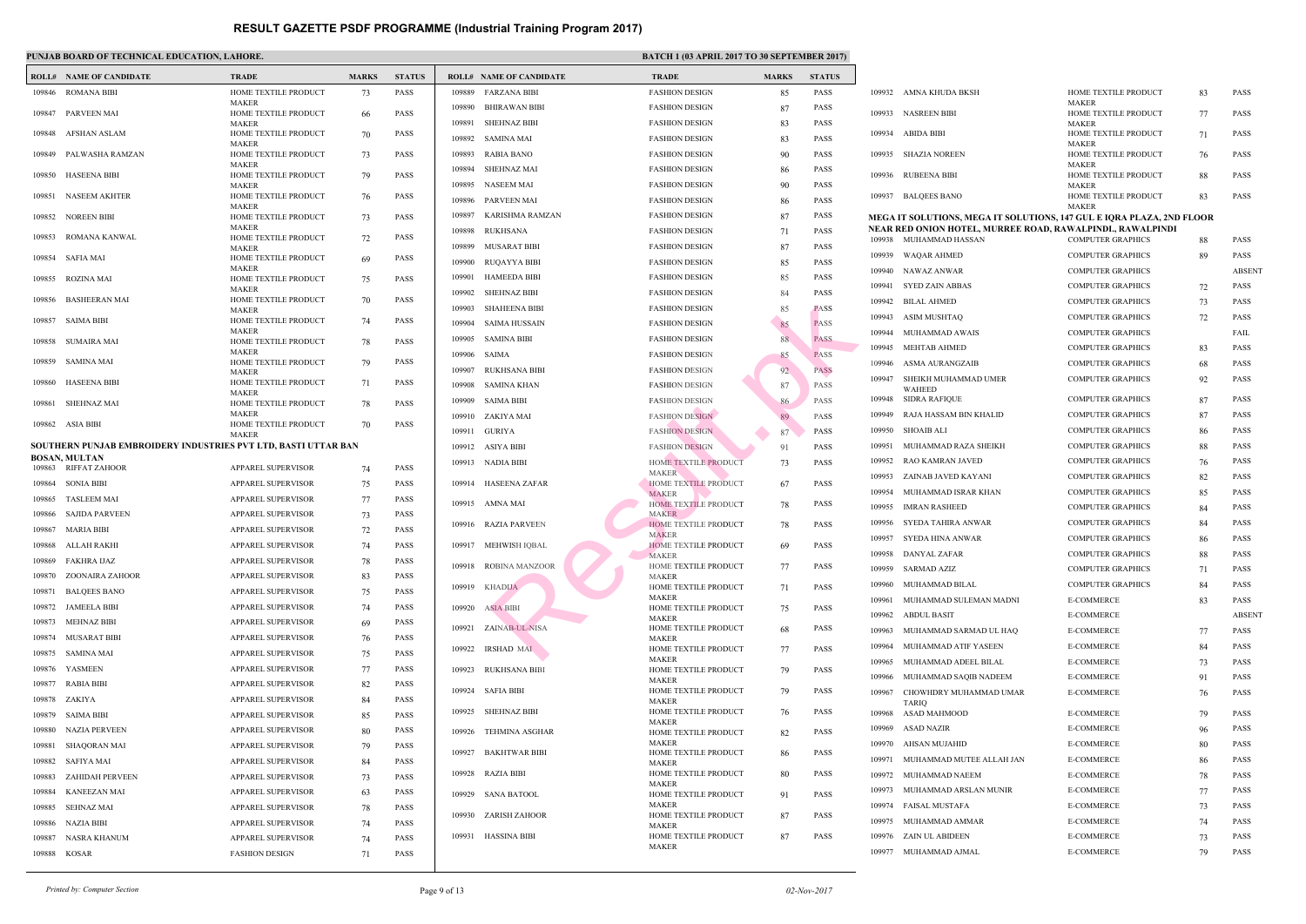|        | <b>ROLL# NAME OF CANDIDATE</b>                                 | <b>TRADE</b>                         | <b>MARKS</b> | <b>STATUS</b> |                  | <b>ROLL# NAME OF CANDIDATE</b>             | <b>TRAL</b>                |
|--------|----------------------------------------------------------------|--------------------------------------|--------------|---------------|------------------|--------------------------------------------|----------------------------|
|        | 109846 ROMANA BIBI                                             | HOME TEXTILE PRODUCT                 | 73           | PASS          |                  | 109889 FARZANA BIBI                        | <b>FASHI</b>               |
| 109847 | PARVEEN MAI                                                    | <b>MAKER</b><br>HOME TEXTILE PRODUCT | 66           | <b>PASS</b>   | 109890           | <b>BHIRAWAN BIBI</b>                       | <b>FASHI</b>               |
|        |                                                                | <b>MAKER</b>                         |              |               | 109891           | <b>SHEHNAZ BIBI</b>                        | <b>FASHI</b>               |
| 109848 | AFSHAN ASLAM                                                   | HOME TEXTILE PRODUCT<br>MAKER        | 70           | PASS          |                  | 109892 SAMINA MAI                          | FASHI                      |
| 109849 | PALWASHA RAMZAN                                                | HOME TEXTILE PRODUCT                 | 73           | <b>PASS</b>   | 109893           | <b>RABIA BANO</b>                          | FASHI                      |
| 109850 | <b>HASEENA BIBI</b>                                            | <b>MAKER</b><br>HOME TEXTILE PRODUCT | 79           | <b>PASS</b>   | 109894           | <b>SHEHNAZ MAI</b>                         | <b>FASHI</b>               |
| 109851 | <b>NASEEM AKHTER</b>                                           | <b>MAKER</b><br>HOME TEXTILE PRODUCT |              | <b>PASS</b>   |                  | 109895 NASEEM MAI                          | <b>FASHI</b>               |
|        |                                                                | <b>MAKER</b>                         | 76           |               | 109896           | PARVEEN MAI                                | <b>FASHI</b>               |
| 109852 | <b>NOREEN BIBI</b>                                             | HOME TEXTILE PRODUCT<br><b>MAKER</b> | 73           | PASS          | 109897           | KARISHMA RAMZAN                            | <b>FASHI</b>               |
| 109853 | ROMANA KANWAL                                                  | HOME TEXTILE PRODUCT                 | 72           | <b>PASS</b>   | 109898           | RUKHSANA                                   | <b>FASHI</b>               |
| 109854 | SAFIA MAI                                                      | <b>MAKER</b><br>HOME TEXTILE PRODUCT | 69           | <b>PASS</b>   | 109899           | MUSARAT BIBI                               | <b>FASHI</b>               |
|        |                                                                | <b>MAKER</b>                         |              |               | 109900           | RUQAYYA BIBI                               | <b>FASHI</b>               |
| 109855 | ROZINA MAI                                                     | HOME TEXTILE PRODUCT<br>MAKER        | 75           | <b>PASS</b>   | 109901<br>109902 | <b>HAMEEDA BIBI</b><br><b>SHEHNAZ BIBI</b> | FASHI<br><b>FASHI</b>      |
| 109856 | <b>BASHEERAN MAI</b>                                           | HOME TEXTILE PRODUCT                 | 70           | <b>PASS</b>   | 109903           | <b>SHAHEENA BIBI</b>                       | <b>FASHI</b>               |
| 109857 | SAIMA BIBI                                                     | <b>MAKER</b><br>HOME TEXTILE PRODUCT | 74           | <b>PASS</b>   | 109904           | <b>SAIMA HUSSAIN</b>                       | <b>FASHI</b>               |
|        |                                                                | <b>MAKER</b>                         |              |               | 109905           | SAMINA BIBI                                | <b>FASHI</b>               |
| 109858 | <b>SUMAIRA MAI</b>                                             | HOME TEXTILE PRODUCT<br><b>MAKER</b> | 78           | <b>PASS</b>   |                  | 109906 SAIMA                               | <b>FASHI</b>               |
| 109859 | SAMINA MAI                                                     | HOME TEXTILE PRODUCT<br><b>MAKER</b> | 79           | <b>PASS</b>   | 109907           | RUKHSANA BIBI                              | <b>FASHI</b>               |
|        | 109860 HASEENA BIBI                                            | HOME TEXTILE PRODUCT                 | 71           | <b>PASS</b>   | 109908           | SAMINA KHAN                                | <b>FASHI</b>               |
| 109861 | <b>SHEHNAZ MAI</b>                                             | <b>MAKER</b><br>HOME TEXTILE PRODUCT | 78           | <b>PASS</b>   | 109909           | SAIMA BIBI                                 | FASHI                      |
|        |                                                                | <b>MAKER</b>                         |              |               |                  | 109910 ZAKIYA MAI                          | FASHI                      |
| 109862 | ASIA BIBI                                                      | HOME TEXTILE PRODUCT<br><b>MAKER</b> | 70           | PASS          |                  | 109911 GURIYA                              | FASHI                      |
|        | SOUTHERN PUNJAB EMBROIDERY INDUSTRIES PVT LTD, BASTI UTTAR BAN |                                      |              |               |                  | 109912 ASIYA BIBI                          | FASHI                      |
|        | <b>BOSAN, MULTAN</b><br>109863 RIFFAT ZAHOOR                   | <b>APPAREL SUPERVISOR</b>            |              | <b>PASS</b>   |                  | 109913 NADIA BIBI                          | <b>HOME</b>                |
| 109864 | <b>SONIA BIBI</b>                                              | APPAREL SUPERVISOR                   | 74           | <b>PASS</b>   | 109914           | HASEENA ZAFAR                              | <b>MAKE</b><br>HOME        |
| 109865 | <b>TASLEEM MAI</b>                                             | APPAREL SUPERVISOR                   | 75<br>77     | <b>PASS</b>   |                  |                                            | <b>MAKE</b>                |
| 109866 | SAJIDA PARVEEN                                                 | APPAREL SUPERVISOR                   | 73           | <b>PASS</b>   |                  | 109915 AMNA MAI                            | <b>HOME</b><br><b>MAKE</b> |
| 109867 | MARIA BIBI                                                     | APPAREL SUPERVISOR                   | 72           | PASS          | 109916           | RAZIA PARVEEN                              | <b>HOME</b>                |
|        | 109868 ALLAH RAKHI                                             | APPAREL SUPERVISOR                   | 74           | <b>PASS</b>   |                  | 109917 MEHWISH IQBAL                       | <b>MAKE</b><br><b>HOME</b> |
| 109869 | FAKHRA IJAZ                                                    | APPAREL SUPERVISOR                   | 78           | PASS          |                  |                                            | <b>MAKE</b>                |
| 109870 | ZOONAIRA ZAHOOR                                                | APPAREL SUPERVISOR                   | 83           | PASS          |                  | 109918 ROBINA MANZOOR                      | <b>HOME</b><br><b>MAKE</b> |
| 109871 | <b>BALQEES BANO</b>                                            | APPAREL SUPERVISOR                   | 75           | PASS          | 109919           | KHADIJA                                    | <b>HOME</b>                |
| 109872 | <b>JAMEELA BIBI</b>                                            | APPAREL SUPERVISOR                   | 74           | PASS          | 109920           | <b>ASIA BIBI</b>                           | <b>MAKE</b><br><b>HOME</b> |
| 109873 | <b>MEHNAZ BIBI</b>                                             | APPAREL SUPERVISOR                   | 69           | PASS          |                  |                                            | <b>MAKE</b>                |
| 109874 | MUSARAT BIBI                                                   | APPAREL SUPERVISOR                   | 76           | PASS          | 109921           | ZAINAB-UL-NISA                             | <b>HOME</b><br><b>MAKE</b> |
| 109875 | SAMINA MAI                                                     | APPAREL SUPERVISOR                   | 75           | PASS          | 109922           | <b>IRSHAD MAI</b>                          | <b>HOME</b>                |
| 109876 | YASMEEN                                                        | APPAREL SUPERVISOR                   | 77           | PASS          | 109923           | RUKHSANA BIBI                              | <b>MAKE</b><br><b>HOME</b> |
| 109877 | RABIA BIBI                                                     | APPAREL SUPERVISOR                   | 82           | PASS          | 109924           | SAFIA BIBI                                 | <b>MAKE</b><br><b>HOME</b> |
| 109878 | ZAKIYA                                                         | APPAREL SUPERVISOR                   | 84           | PASS          |                  |                                            | <b>MAKE</b>                |
| 109879 | SAIMA BIBI                                                     | APPAREL SUPERVISOR                   | 85           | PASS          | 109925           | <b>SHEHNAZ BIBI</b>                        | <b>HOME</b><br><b>MAKE</b> |
| 109880 | <b>NAZIA PERVEEN</b>                                           | APPAREL SUPERVISOR                   | 80           | PASS          | 109926           | TEHMINA ASGHAR                             | <b>HOME</b>                |
| 109881 | <b>SHAQORAN MAI</b>                                            | APPAREL SUPERVISOR                   | 79           | PASS          | 109927           | <b>BAKHTWAR BIBI</b>                       | <b>MAKE</b><br><b>HOME</b> |
| 109882 | SAFIYA MAI                                                     | APPAREL SUPERVISOR                   | 84           | PASS          |                  |                                            | <b>MAKE</b>                |
| 109883 | <b>ZAHIDAH PERVEEN</b>                                         | APPAREL SUPERVISOR                   | 73           | PASS          | 109928           | RAZIA BIBI                                 | <b>HOME</b><br><b>MAKE</b> |
| 109884 | <b>KANEEZAN MAI</b>                                            | APPAREL SUPERVISOR                   | 63           | PASS          | 109929           | <b>SANA BATOOL</b>                         | <b>HOME</b>                |
| 109885 | SEHNAZ MAI                                                     | APPAREL SUPERVISOR                   | 78           | PASS          | 109930           | <b>ZARISH ZAHOOR</b>                       | <b>MAKE</b><br><b>HOME</b> |
| 109886 | NAZIA BIBI                                                     | APPAREL SUPERVISOR                   | 74           | PASS          |                  |                                            | <b>MAKE</b>                |
| 109887 | NASRA KHANUM                                                   | APPAREL SUPERVISOR                   | 74           | PASS          | 109931           | HASSINA BIBI                               | <b>HOME</b><br><b>MAKE</b> |
|        | 109888 KOSAR                                                   | <b>FASHION DESIGN</b>                | 71           | PASS          |                  |                                            |                            |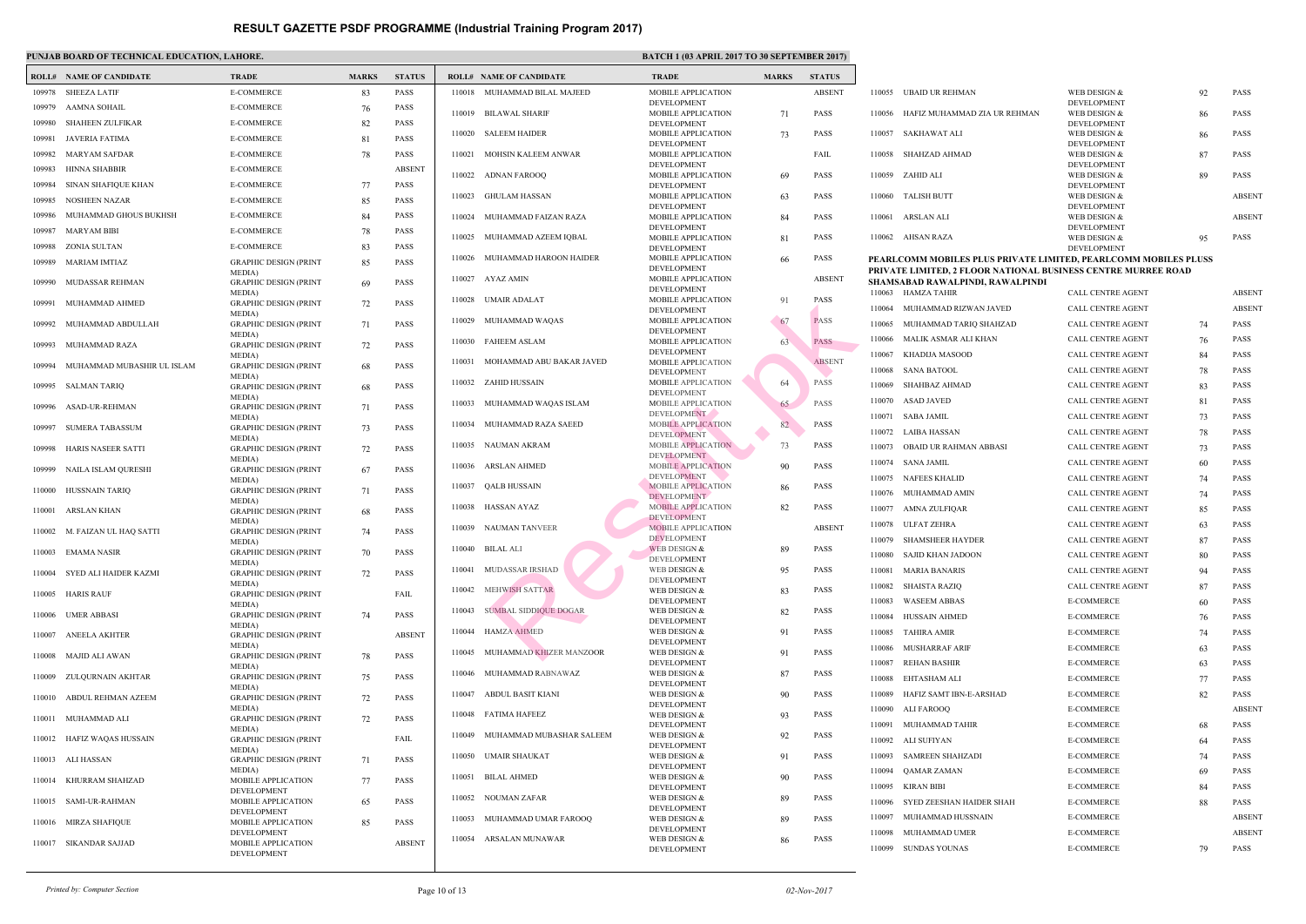|        | <b>ROLL# NAME OF CANDIDATE</b>                  | <b>TRADE</b>                                            | <b>MARKS</b> | <b>STATUS</b>                |        | <b>ROLL# NAME OF CANDIDATE</b> | <b>TRAL</b>                                  |
|--------|-------------------------------------------------|---------------------------------------------------------|--------------|------------------------------|--------|--------------------------------|----------------------------------------------|
| 109978 | <b>SHEEZA LATIF</b>                             | <b>E-COMMERCE</b>                                       | 83           | <b>PASS</b>                  | 110018 | MUHAMMAD BILAL MAJEED          | <b>MOBII</b>                                 |
| 109979 | AAMNA SOHAIL                                    | <b>E-COMMERCE</b>                                       | 76           | <b>PASS</b>                  | 110019 | BILAWAL SHARIF                 | <b>DEVEI</b><br><b>MOBII</b>                 |
| 109980 | <b>SHAHEEN ZULFIKAR</b>                         | <b>E-COMMERCE</b>                                       | 82           | <b>PASS</b>                  |        |                                | <b>DEVEI</b>                                 |
| 109981 | JAVERIA FATIMA                                  | <b>E-COMMERCE</b>                                       | 81           | <b>PASS</b>                  | 110020 | <b>SALEEM HAIDER</b>           | <b>MOBII</b><br><b>DEVEI</b>                 |
| 109982 | MARYAM SAFDAR                                   | <b>E-COMMERCE</b>                                       | 78           | <b>PASS</b>                  | 110021 | MOHSIN KALEEM ANWAR            | <b>MOBII</b>                                 |
| 109983 | HINNA SHABBIR                                   | <b>E-COMMERCE</b>                                       |              | <b>ABSENT</b>                | 110022 | <b>ADNAN FAROOQ</b>            | <b>DEVEI</b><br><b>MOBII</b>                 |
| 109984 | SINAN SHAFIQUE KHAN                             | <b>E-COMMERCE</b>                                       | 77           | <b>PASS</b>                  |        |                                | <b>DEVEI</b>                                 |
| 109985 | <b>NOSHEEN NAZAR</b>                            | <b>E-COMMERCE</b>                                       | 85           | <b>PASS</b>                  | 110023 | <b>GHULAM HASSAN</b>           | <b>MOBII</b><br><b>DEVEI</b>                 |
| 109986 | MUHAMMAD GHOUS BUKHSH                           | E-COMMERCE                                              | 84           | <b>PASS</b>                  | 110024 | MUHAMMAD FAIZAN RAZA           | <b>MOBII</b>                                 |
| 109987 | MARYAM BIBI                                     | <b>E-COMMERCE</b>                                       | 78           | <b>PASS</b>                  | 110025 | MUHAMMAD AZEEM IQBAL           | <b>DEVEI</b><br><b>MOBII</b>                 |
| 109988 | ZONIA SULTAN                                    | <b>E-COMMERCE</b>                                       | 83           | <b>PASS</b>                  |        |                                | <b>DEVEI</b>                                 |
| 109989 | MARIAM IMTIAZ                                   | <b>GRAPHIC DESIGN (PRINT</b>                            | 85           | <b>PASS</b>                  | 110026 | MUHAMMAD HAROON HAIDER         | <b>MOBII</b><br><b>DEVEI</b>                 |
| 109990 | MUDASSAR REHMAN                                 | MEDIA)<br><b>GRAPHIC DESIGN (PRINT</b><br>MEDIA)        | 69           | <b>PASS</b>                  | 110027 | AYAZ AMIN                      | <b>MOBII</b><br><b>DEVEI</b>                 |
| 109991 | MUHAMMAD AHMED                                  | <b>GRAPHIC DESIGN (PRINT</b>                            | 72           | <b>PASS</b>                  | 110028 | <b>UMAIR ADALAT</b>            | <b>MOBII</b><br><b>DEVEI</b>                 |
| 109992 | MUHAMMAD ABDULLAH                               | MEDIA)<br><b>GRAPHIC DESIGN (PRINT</b>                  | 71           | <b>PASS</b>                  | 110029 | MUHAMMAD WAQAS                 | <b>MOBII</b><br><b>DEVEI</b>                 |
| 109993 | MUHAMMAD RAZA                                   | MEDIA)<br><b>GRAPHIC DESIGN (PRINT</b>                  | 72           | <b>PASS</b>                  | 110030 | <b>FAHEEM ASLAM</b>            | <b>MOBII</b>                                 |
| 109994 | MUHAMMAD MUBASHIR UL ISLAM                      | MEDIA)<br><b>GRAPHIC DESIGN (PRINT</b>                  | 68           | <b>PASS</b>                  | 110031 | MOHAMMAD ABU BAKAR JAVED       | <b>DEVEI</b><br><b>MOBII</b><br><b>DEVEI</b> |
| 109995 | SALMAN TARIQ                                    | MEDIA)<br><b>GRAPHIC DESIGN (PRINT</b>                  | 68           | <b>PASS</b>                  | 110032 | ZAHID HUSSAIN                  | <b>MOBII</b>                                 |
| 109996 | <b>ASAD-UR-REHMAN</b>                           | MEDIA)<br><b>GRAPHIC DESIGN (PRINT</b>                  | 71           | <b>PASS</b>                  | 110033 | MUHAMMAD WAQAS ISLAM           | <b>DEVEI</b><br><b>MOBII</b><br><b>DEVEI</b> |
| 109997 | <b>SUMERA TABASSUM</b>                          | MEDIA)<br><b>GRAPHIC DESIGN (PRINT</b>                  | 73           | <b>PASS</b>                  | 110034 | MUHAMMAD RAZA SAEED            | <b>MOBII</b>                                 |
| 109998 | HARIS NASEER SATTI                              | MEDIA)<br><b>GRAPHIC DESIGN (PRINT</b>                  | 72           | PASS                         | 110035 | <b>NAUMAN AKRAM</b>            | <b>DEVEI</b><br><b>MOBII</b><br><b>DEVEI</b> |
| 109999 | NAILA ISLAM QURESHI                             | MEDIA)<br><b>GRAPHIC DESIGN (PRINT</b>                  | 67           | <b>PASS</b>                  | 110036 | ARSLAN AHMED                   | <b>MOBII</b>                                 |
| 110000 | HUSSNAIN TARIQ                                  | MEDIA)<br><b>GRAPHIC DESIGN (PRINT</b>                  | 71           | <b>PASS</b>                  | 110037 | QALB HUSSAIN                   | <b>DEVEI</b><br><b>MOBII</b><br><b>DEVEI</b> |
| 110001 | <b>ARSLAN KHAN</b>                              | MEDIA)<br><b>GRAPHIC DESIGN (PRINT</b>                  | 68           | <b>PASS</b>                  | 110038 | HASSAN AYAZ                    | <b>MOBII</b>                                 |
|        |                                                 | MEDIA)                                                  |              |                              | 110039 | <b>NAUMAN TANVEER</b>          | <b>DEVEI</b><br><b>MOBII</b>                 |
| 110002 | M. FAIZAN UL HAQ SATTI                          | <b>GRAPHIC DESIGN (PRINT</b><br>MEDIA)                  | 74           | <b>PASS</b>                  |        |                                | <b>DEVEI</b>                                 |
|        | 110003 EMAMA NASIR                              | <b>GRAPHIC DESIGN (PRINT</b>                            | 70           | <b>PASS</b>                  |        | 110040 BILAL ALI               | <b>WEB</b> L<br><b>DEVEI</b>                 |
| 110004 | SYED ALI HAIDER KAZMI                           | MEDIA)<br><b>GRAPHIC DESIGN (PRINT</b><br>MEDIA)        | 72           | <b>PASS</b>                  | 110041 | MUDASSAR IRSHAD                | WEB I<br><b>DEVEI</b>                        |
| 110005 | <b>HARIS RAUF</b>                               | <b>GRAPHIC DESIGN (PRINT</b>                            |              | FAIL                         | 110042 | <b>MEHWISH SATTAR</b>          | WEB I<br><b>DEVEI</b>                        |
| 110006 | <b>UMER ABBASI</b>                              | MEDIA)<br><b>GRAPHIC DESIGN (PRINT</b><br>MEDIA)        | 74           | <b>PASS</b>                  | 110043 | <b>SUMBAL SIDDIQUE DOGAR</b>   | WEB I<br><b>DEVEI</b>                        |
| 110007 | ANEELA AKHTER                                   | <b>GRAPHIC DESIGN (PRINT</b>                            |              | <b>ABSENT</b>                | 110044 | <b>HAMZA AHMED</b>             | WEB I<br><b>DEVEI</b>                        |
| 110008 | MAJID ALI AWAN                                  | MEDIA)<br><b>GRAPHIC DESIGN (PRINT</b><br>MEDIA)        | 78           | <b>PASS</b>                  | 110045 | MUHAMMAD KHIZER MANZOOR        | WEB I<br><b>DEVEI</b>                        |
| 110009 | ZULQURNAIN AKHTAR                               | <b>GRAPHIC DESIGN (PRINT</b>                            | 75           | <b>PASS</b>                  | 110046 | MUHAMMAD RABNAWAZ              | WEB I<br><b>DEVEI</b>                        |
| 110010 | ABDUL REHMAN AZEEM                              | MEDIA)<br><b>GRAPHIC DESIGN (PRINT</b>                  | 72           | PASS                         | 110047 | ABDUL BASIT KIANI              | WEB I<br><b>DEVEI</b>                        |
| 110011 | MUHAMMAD ALI                                    | MEDIA)<br><b>GRAPHIC DESIGN (PRINT</b>                  | 72           | <b>PASS</b>                  | 110048 | <b>FATIMA HAFEEZ</b>           | WEB I                                        |
| 110012 | HAFIZ WAQAS HUSSAIN                             | MEDIA)<br><b>GRAPHIC DESIGN (PRINT</b>                  |              | FAIL                         | 110049 | MUHAMMAD MUBASHAR SALEEM       | <b>DEVEI</b><br>WEB I<br><b>DEVEI</b>        |
| 110013 | ALI HASSAN                                      | MEDIA)<br><b>GRAPHIC DESIGN (PRINT</b>                  | 71           | <b>PASS</b>                  | 110050 | <b>UMAIR SHAUKAT</b>           | WEB I                                        |
| 110014 | KHURRAM SHAHZAD                                 | MEDIA)<br>MOBILE APPLICATION                            | 77           | <b>PASS</b>                  | 110051 | <b>BILAL AHMED</b>             | <b>DEVEI</b><br>WEB I<br><b>DEVEI</b>        |
| 110015 | SAMI-UR-RAHMAN                                  | DEVELOPMENT<br>MOBILE APPLICATION                       | 65           | PASS                         | 110052 | NOUMAN ZAFAR                   | WEB I                                        |
|        |                                                 | DEVELOPMENT                                             |              |                              | 110053 | MUHAMMAD UMAR FAROOQ           | <b>DEVEI</b><br>WEB I                        |
| 110016 | <b>MIRZA SHAFIQUE</b><br>110017 SIKANDAR SAJJAD | MOBILE APPLICATION<br>DEVELOPMENT<br>MOBILE APPLICATION | 85           | <b>PASS</b><br><b>ABSENT</b> | 110054 | ARSALAN MUNAWAR                | <b>DEVEI</b><br>WEB I                        |
|        |                                                 | DEVELOPMENT                                             |              |                              |        |                                | <b>DEVEI</b>                                 |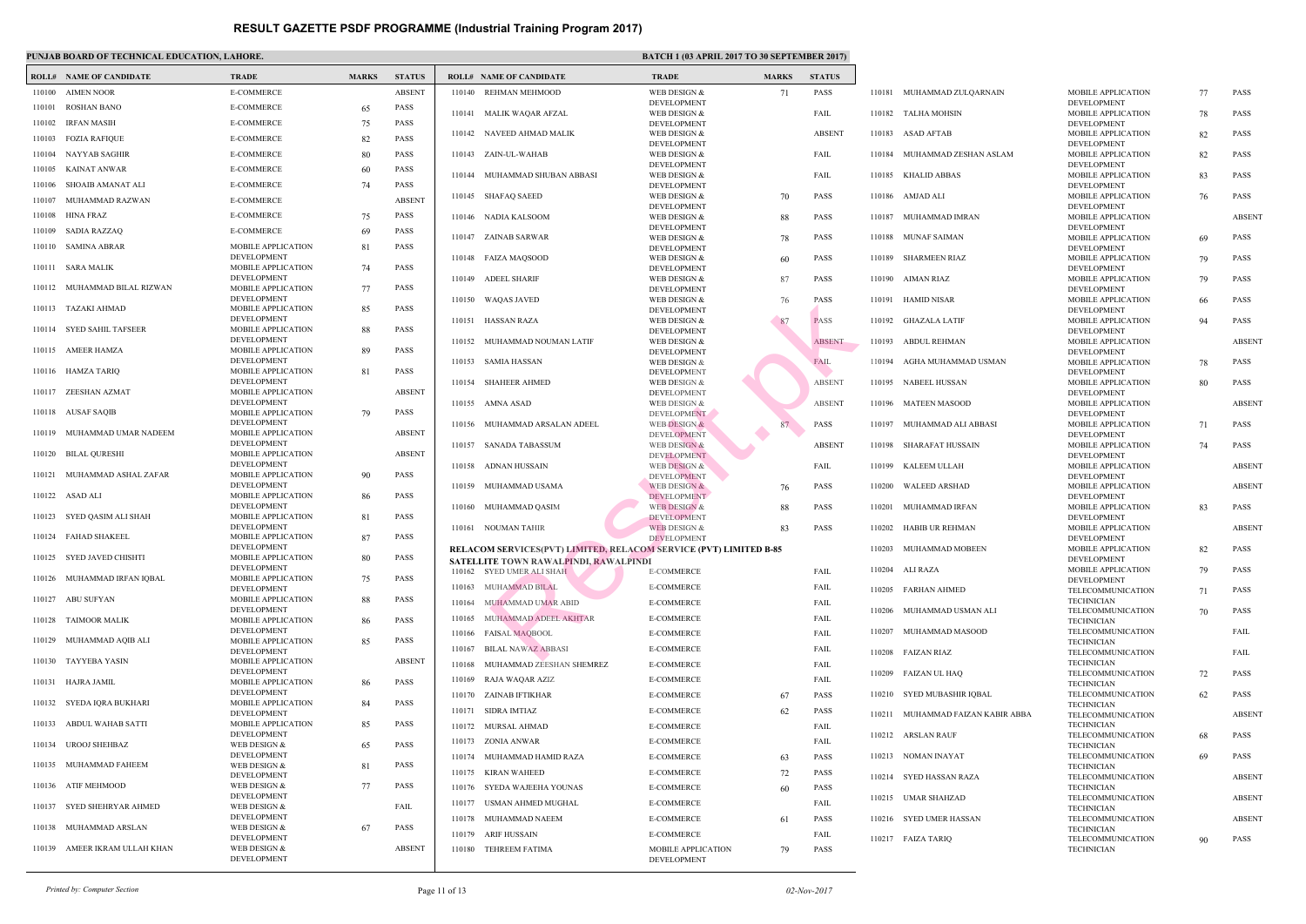|        | <b>ROLL# NAME OF CANDIDATE</b> | <b>TRADE</b>                             | <b>MARKS</b> | <b>STATUS</b> |        | <b>ROLL# NAME OF CANDIDATE</b>                                     | <b>TRAL</b>                      |
|--------|--------------------------------|------------------------------------------|--------------|---------------|--------|--------------------------------------------------------------------|----------------------------------|
| 110100 | <b>AIMEN NOOR</b>              | <b>E-COMMERCE</b>                        |              | <b>ABSENT</b> |        | 110140 REHMAN MEHMOOD                                              | WEB <sub>I</sub>                 |
| 110101 | <b>ROSHAN BANO</b>             | E-COMMERCE                               | 65           | <b>PASS</b>   | 110141 | MALIK WAQAR AFZAL                                                  | <b>DEVEI</b><br>WEB I            |
| 110102 | IRFAN MASIH                    | E-COMMERCE                               | 75           | <b>PASS</b>   |        |                                                                    | <b>DEVEI</b>                     |
| 110103 | <b>FOZIA RAFIQUE</b>           | E-COMMERCE                               | 82           | <b>PASS</b>   |        | 110142 NAVEED AHMAD MALIK                                          | WEB I                            |
| 110104 | NAYYAB SAGHIR                  | E-COMMERCE                               | 80           | <b>PASS</b>   |        | 110143 ZAIN-UL-WAHAB                                               | <b>DEVEI</b><br>WEB I            |
| 110105 | KAINAT ANWAR                   | <b>E-COMMERCE</b>                        | 60           | <b>PASS</b>   |        | 110144 MUHAMMAD SHUBAN ABBASI                                      | <b>DEVEI</b><br>WEB I            |
| 110106 | SHOAIB AMANAT ALI              | E-COMMERCE                               | 74           | <b>PASS</b>   |        |                                                                    | <b>DEVEI</b>                     |
| 110107 | MUHAMMAD RAZWAN                | <b>E-COMMERCE</b>                        |              | <b>ABSENT</b> |        | 110145 SHAFAQ SAEED                                                | WEB I                            |
| 110108 | HINA FRAZ                      | E-COMMERCE                               | 75           | <b>PASS</b>   |        | 110146 NADIA KALSOOM                                               | <b>DEVEI</b><br>WEB I            |
| 110109 | SADIA RAZZAQ                   | E-COMMERCE                               | 69           | <b>PASS</b>   |        |                                                                    | <b>DEVEI</b>                     |
|        | 110110 SAMINA ABRAR            | MOBILE APPLICATION                       | 81           | <b>PASS</b>   |        | 110147 ZAINAB SARWAR                                               | WEB I<br><b>DEVEI</b>            |
|        | 110111 SARA MALIK              | DEVELOPMENT<br>MOBILE APPLICATION        | 74           | <b>PASS</b>   |        | 110148 FAIZA MAQSOOD                                               | WEB I<br><b>DEVEI</b>            |
|        | 110112 MUHAMMAD BILAL RIZWAN   | DEVELOPMENT<br>MOBILE APPLICATION        | 77           | <b>PASS</b>   | 110149 | ADEEL SHARIF                                                       | WEB I<br><b>DEVEI</b>            |
|        | 110113 TAZAKI AHMAD            | DEVELOPMENT                              |              | <b>PASS</b>   |        | 110150 WAQAS JAVED                                                 | WEB <sub>I</sub>                 |
|        |                                | MOBILE APPLICATION<br><b>DEVELOPMENT</b> | 85           |               | 110151 | HASSAN RAZA                                                        | <b>DEVEI</b><br>WEB I            |
| 110114 | <b>SYED SAHIL TAFSEER</b>      | MOBILE APPLICATION                       | 88           | <b>PASS</b>   |        |                                                                    | <b>DEVEI</b>                     |
|        | 110115 AMEER HAMZA             | DEVELOPMENT<br>MOBILE APPLICATION        | 89           | <b>PASS</b>   |        | 110152 MUHAMMAD NOUMAN LATIF                                       | WEB I<br><b>DEVEI</b>            |
|        |                                | DEVELOPMENT                              |              |               |        | 110153 SAMIA HASSAN                                                | WEB I                            |
|        | 110116 HAMZA TARIQ             | MOBILE APPLICATION<br>DEVELOPMENT        | 81           | <b>PASS</b>   | 110154 | <b>SHAHEER AHMED</b>                                               | <b>DEVEI</b><br>WEB I            |
|        | 110117 ZEESHAN AZMAT           | MOBILE APPLICATION                       |              | <b>ABSENT</b> |        |                                                                    | <b>DEVEI</b>                     |
|        | 110118 AUSAF SAQIB             | DEVELOPMENT<br>MOBILE APPLICATION        | 79           | <b>PASS</b>   |        | 110155 AMNA ASAD                                                   | WEB I<br><b>DEVEI</b>            |
| 110119 | MUHAMMAD UMAR NADEEM           | DEVELOPMENT<br>MOBILE APPLICATION        |              | <b>ABSENT</b> |        | 110156 MUHAMMAD ARSALAN ADEEL                                      | WEB <sub>I</sub><br><b>DEVEI</b> |
|        |                                | DEVELOPMENT                              |              |               |        | 110157 SANADA TABASSUM                                             | WEB I                            |
| 110120 | BILAL QURESHI                  | MOBILE APPLICATION<br>DEVELOPMENT        |              | <b>ABSENT</b> |        | 110158 ADNAN HUSSAIN                                               | <b>DEVEI</b><br>WEB I            |
| 110121 | MUHAMMAD ASHAL ZAFAR           | MOBILE APPLICATION                       | 90           | <b>PASS</b>   |        |                                                                    | <b>DEVEI</b>                     |
|        | 110122 ASAD ALI                | DEVELOPMENT<br>MOBILE APPLICATION        | 86           | <b>PASS</b>   | 110159 | MUHAMMAD USAMA                                                     | <b>WEBI</b><br><b>DEVEI</b>      |
|        |                                | DEVELOPMENT                              |              |               |        | 110160 MUHAMMAD QASIM                                              | WEB I                            |
|        | 110123 SYED QASIM ALI SHAH     | MOBILE APPLICATION<br><b>DEVELOPMENT</b> | 81           | <b>PASS</b>   | 110161 | NOUMAN TAHIR                                                       | <b>DEVEI</b><br><b>WEBI</b>      |
|        | 110124 FAHAD SHAKEEL           | MOBILE APPLICATION                       | 87           | <b>PASS</b>   |        |                                                                    | <b>DEVE</b>                      |
|        | 110125 SYED JAVED CHISHTI      | <b>DEVELOPMENT</b><br>MOBILE APPLICATION | 80           | <b>PASS</b>   |        | <b>RELACOM SERVICES(PVT) LIMITED, RELACOM SEF</b>                  |                                  |
|        |                                | DEVELOPMENT                              |              |               |        | SATELLITE TOWN RAWALPINDI, RAWALPINDI<br>110162 SYED UMER ALI SHAH | E-CON                            |
|        | 110126 MUHAMMAD IRFAN IQBAL    | MOBILE APPLICATION<br>DEVELOPMENT        | 75           | <b>PASS</b>   | 110163 | MUHAMMAD BILAL                                                     | E-COM                            |
| 110127 | ABU SUFYAN                     | MOBILE APPLICATION                       | 88           | <b>PASS</b>   | 110164 | MUHAMMAD UMAR ABID                                                 | E-COM                            |
| 110128 | TAIMOOR MALIK                  | DEVELOPMENT<br>MOBILE APPLICATION        | 86           | <b>PASS</b>   | 110165 | MUHAMMAD ADEEL AKHTAR                                              | E-COM                            |
|        |                                | DEVELOPMENT                              |              |               | 110166 | FAISAL MAQBOOL                                                     | E-COM                            |
| 110129 | MUHAMMAD AQIB ALI              | MOBILE APPLICATION<br>DEVELOPMENT        | 85           | <b>PASS</b>   | 110167 | <b>BILAL NAWAZ ABBASI</b>                                          | E-COM                            |
|        | 110130 TAYYEBA YASIN           | MOBILE APPLICATION                       |              | <b>ABSENT</b> | 110168 | MUHAMMAD ZEESHAN SHEMREZ                                           | E-COM                            |
|        | 110131 HAJRA JAMIL             | DEVELOPMENT<br>MOBILE APPLICATION        | 86           | <b>PASS</b>   | 110169 | RAJA WAQAR AZIZ                                                    | E-COM                            |
|        | 110132 SYEDA IQRA BUKHARI      | DEVELOPMENT<br>MOBILE APPLICATION        | 84           | <b>PASS</b>   |        | 110170 ZAINAB IFTIKHAR                                             | E-COM                            |
|        |                                | <b>DEVELOPMENT</b>                       |              |               | 110171 | SIDRA IMTIAZ                                                       | E-COM                            |
| 110133 | ABDUL WAHAB SATTI              | MOBILE APPLICATION<br>DEVELOPMENT        | 85           | <b>PASS</b>   |        | 110172 MURSAL AHMAD                                                | E-COM                            |
| 110134 | UROOJ SHEHBAZ                  | WEB DESIGN &                             | 65           | <b>PASS</b>   | 110173 | ZONIA ANWAR                                                        | E-COM                            |
|        |                                | DEVELOPMENT<br>WEB DESIGN &              |              |               | 110174 | MUHAMMAD HAMID RAZA                                                | E-COM                            |
|        | 110135 MUHAMMAD FAHEEM         | DEVELOPMENT                              | 81           | PASS          | 110175 | KIRAN WAHEED                                                       | E-COM                            |
| 110136 | ATIF MEHMOOD                   | WEB DESIGN &<br>DEVELOPMENT              | 77           | <b>PASS</b>   |        | 110176 SYEDA WAJEEHA YOUNAS                                        | E-COM                            |
|        | 110137 SYED SHEHRYAR AHMED     | WEB DESIGN &                             |              | FAIL          | 110177 | USMAN AHMED MUGHAL                                                 | E-COM                            |
|        | 110138 MUHAMMAD ARSLAN         | DEVELOPMENT                              |              | <b>PASS</b>   | 110178 | MUHAMMAD NAEEM                                                     | E-CON                            |
|        |                                | WEB DESIGN &<br>DEVELOPMENT              | 67           |               | 110179 | ARIF HUSSAIN                                                       | E-COM                            |
| 110139 | AMEER IKRAM ULLAH KHAN         | WEB DESIGN &<br>DEVELOPMENT              |              | <b>ABSENT</b> | 110180 | TEHREEM FATIMA                                                     | <b>MOBII</b><br><b>DEVEI</b>     |
|        |                                |                                          |              |               |        |                                                                    |                                  |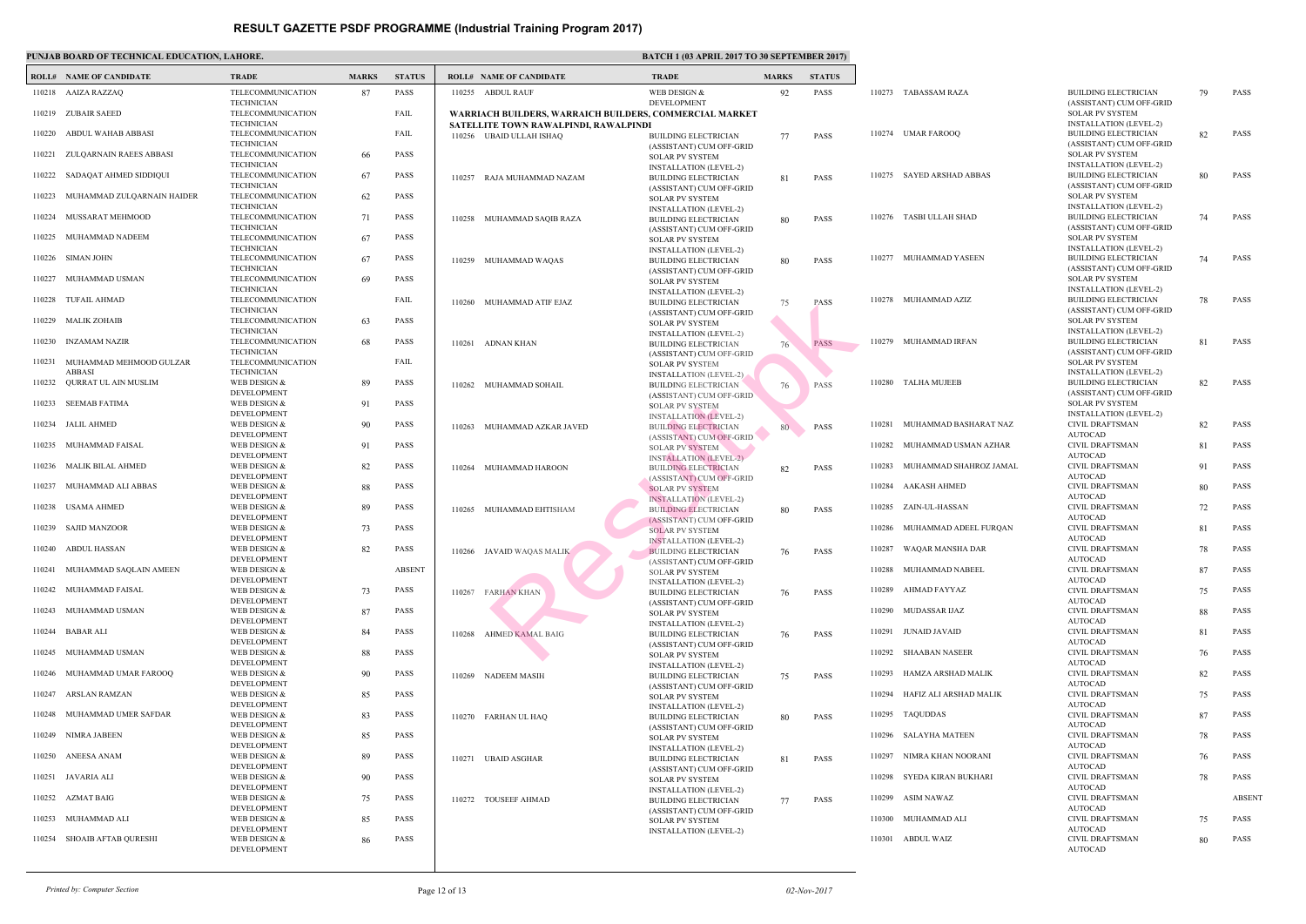|        | <b>ROLL# NAME OF CANDIDATE</b>        | <b>TRADE</b>                           | <b>MARKS</b> | <b>STATUS</b> |        | <b>ROLL# NAME OF CANDIDATE</b>                                    | <b>TRAL</b>                  |
|--------|---------------------------------------|----------------------------------------|--------------|---------------|--------|-------------------------------------------------------------------|------------------------------|
|        |                                       |                                        |              | PASS          |        | 110255 ABDUL RAUF                                                 |                              |
|        | 110218 AAIZA RAZZAQ                   | TELECOMMUNICATION<br><b>TECHNICIAN</b> | 87           |               |        |                                                                   | WEB I<br><b>DEVEI</b>        |
| 110219 | <b>ZUBAIR SAEED</b>                   | TELECOMMUNICATION<br><b>TECHNICIAN</b> |              | FAIL          |        | WARRIACH BUILDERS, WARRAICH BUILDERS, COM                         |                              |
| 110220 | ABDUL WAHAB ABBASI                    | TELECOMMUNICATION                      |              | FAIL          |        | SATELLITE TOWN RAWALPINDI, RAWALPINDI<br>110256 UBAID ULLAH ISHAQ | <b>BUILD</b>                 |
| 110221 | ZULQARNAIN RAEES ABBASI               | <b>TECHNICIAN</b><br>TELECOMMUNICATION | 66           | PASS          |        |                                                                   | (ASSIS<br><b>SOLAI</b>       |
| 110222 | SADAQAT AHMED SIDDIQUI                | <b>TECHNICIAN</b><br>TELECOMMUNICATION | 67           | PASS          |        | 110257 RAJA MUHAMMAD NAZAM                                        | <b>INSTA</b><br><b>BUILD</b> |
|        |                                       | <b>TECHNICIAN</b>                      |              | PASS          |        |                                                                   | (ASSIS                       |
| 110223 | MUHAMMAD ZULQARNAIN HAIDER            | TELECOMMUNICATION<br><b>TECHNICIAN</b> | 62           |               |        |                                                                   | <b>SOLAI</b><br><b>INSTA</b> |
|        | 110224 MUSSARAT MEHMOOD               | TELECOMMUNICATION<br><b>TECHNICIAN</b> | 71           | PASS          |        | 110258 MUHAMMAD SAQIB RAZA                                        | <b>BUILD</b><br>(ASSIS       |
| 110225 | MUHAMMAD NADEEM                       | TELECOMMUNICATION<br><b>TECHNICIAN</b> | 67           | PASS          |        |                                                                   | <b>SOLAI</b>                 |
| 110226 | SIMAN JOHN                            | TELECOMMUNICATION<br><b>TECHNICIAN</b> | 67           | PASS          | 110259 | MUHAMMAD WAQAS                                                    | <b>INSTA</b><br><b>BUILD</b> |
| 110227 | MUHAMMAD USMAN                        | TELECOMMUNICATION<br><b>TECHNICIAN</b> | 69           | PASS          |        |                                                                   | (ASSIS<br><b>SOLAI</b>       |
| 110228 | <b>TUFAIL AHMAD</b>                   | TELECOMMUNICATION                      |              | FAIL          |        | 110260 MUHAMMAD ATIF EJAZ                                         | <b>INSTA</b><br><b>BUILD</b> |
| 110229 | <b>MALIK ZOHAIB</b>                   | <b>TECHNICIAN</b><br>TELECOMMUNICATION | 63           | <b>PASS</b>   |        |                                                                   | (ASSIS<br><b>SOLAI</b>       |
| 110230 | INZAMAM NAZIR                         | <b>TECHNICIAN</b><br>TELECOMMUNICATION | 68           | <b>PASS</b>   |        | 110261 ADNAN KHAN                                                 | <b>INSTA</b><br><b>BUILD</b> |
| 110231 | MUHAMMAD MEHMOOD GULZAR               | <b>TECHNICIAN</b><br>TELECOMMUNICATION |              | FAIL          |        |                                                                   | (ASSIS<br><b>SOLAI</b>       |
| 110232 | <b>ABBASI</b><br>QURRAT UL AIN MUSLIM | <b>TECHNICIAN</b><br>WEB DESIGN &      | 89           | <b>PASS</b>   | 110262 | MUHAMMAD SOHAIL                                                   | <b>INSTA</b><br><b>BUILD</b> |
| 110233 | <b>SEEMAB FATIMA</b>                  | DEVELOPMENT<br>WEB DESIGN &            | 91           | PASS          |        |                                                                   | (ASSIS                       |
| 110234 | JALIL AHMED                           | DEVELOPMENT<br>WEB DESIGN &            |              | PASS          |        |                                                                   | <b>SOLAI</b><br><b>INSTA</b> |
|        |                                       | DEVELOPMENT                            | 90           |               | 110263 | MUHAMMAD AZKAR JAVED                                              | <b>BUILD</b><br>(ASSIS       |
| 110235 | MUHAMMAD FAISAL                       | WEB DESIGN &<br>DEVELOPMENT            | 91           | PASS          |        |                                                                   | SOLAI<br><b>INSTA</b>        |
|        | 110236 MALIK BILAL AHMED              | WEB DESIGN &<br>DEVELOPMENT            | 82           | PASS          | 110264 | MUHAMMAD HAROON                                                   | <b>BUILD</b><br>(ASSIS       |
|        | 110237 MUHAMMAD ALI ABBAS             | WEB DESIGN &<br>DEVELOPMENT            | 88           | PASS          |        |                                                                   | <b>SOLAI</b><br><b>INSTA</b> |
| 110238 | USAMA AHMED                           | WEB DESIGN &<br>DEVELOPMENT            | 89           | PASS          | 110265 | MUHAMMAD EHTISHAM                                                 | <b>BUILD</b>                 |
| 110239 | <b>SAJID MANZOOR</b>                  | WEB DESIGN &                           | 73           | <b>PASS</b>   |        |                                                                   | (ASSIS<br><b>SOLAI</b>       |
|        | 110240 ABDUL HASSAN                   | DEVELOPMENT<br>WEB DESIGN &            | 82           | <b>PASS</b>   |        | 110266 JAVAID WAQAS MALIK                                         | <b>INSTA</b><br><b>BUILD</b> |
| 110241 | MUHAMMAD SAQLAIN AMEEN                | DEVELOPMENT<br>WEB DESIGN &            |              | <b>ABSENT</b> |        |                                                                   | (ASSIS<br><b>SOLAI</b>       |
|        | 110242 MUHAMMAD FAISAL                | DEVELOPMENT<br>WEB DESIGN &            | 73           | PASS          |        | 110267 FARHAN KHAN                                                | <b>INSTA</b><br><b>BUILD</b> |
| 110243 | MUHAMMAD USMAN                        | DEVELOPMENT<br>WEB DESIGN &            |              | PASS          |        |                                                                   | (ASSIS                       |
|        |                                       | DEVELOPMENT                            | 87           |               |        |                                                                   | <b>SOLAI</b><br><b>INSTA</b> |
| 110244 | <b>BABAR ALI</b>                      | WEB DESIGN &<br>DEVELOPMENT            | 84           | PASS          | 110268 | <b>AHMED KAMAL BAIG</b>                                           | <b>BUILD</b><br>(ASSIS       |
| 110245 | MUHAMMAD USMAN                        | WEB DESIGN &<br>DEVELOPMENT            | 88           | PASS          |        |                                                                   | <b>SOLAI</b><br><b>INSTA</b> |
| 110246 | MUHAMMAD UMAR FAROOQ                  | WEB DESIGN &<br>DEVELOPMENT            | 90           | PASS          | 110269 | <b>NADEEM MASIH</b>                                               | <b>BUILD</b>                 |
| 110247 | ARSLAN RAMZAN                         | WEB DESIGN &                           | 85           | PASS          |        |                                                                   | (ASSIS<br><b>SOLAI</b>       |
| 110248 | MUHAMMAD UMER SAFDAR                  | DEVELOPMENT<br>WEB DESIGN &            | 83           | PASS          |        | 110270 FARHAN UL HAQ                                              | <b>INSTA</b><br><b>BUILD</b> |
| 110249 | NIMRA JABEEN                          | DEVELOPMENT<br>WEB DESIGN &            | 85           | PASS          |        |                                                                   | (ASSIS<br><b>SOLAI</b>       |
|        | 110250 ANEESA ANAM                    | DEVELOPMENT<br>WEB DESIGN &            | 89           | PASS          | 110271 | <b>UBAID ASGHAR</b>                                               | <b>INSTA</b><br><b>BUILD</b> |
|        | 110251 JAVARIA ALI                    | DEVELOPMENT<br>WEB DESIGN &            | 90           | PASS          |        |                                                                   | (ASSIS                       |
|        |                                       | DEVELOPMENT                            |              |               |        |                                                                   | <b>SOLAI</b><br><b>INSTA</b> |
|        | 110252 AZMAT BAIG                     | WEB DESIGN &<br>DEVELOPMENT            | 75           | PASS          | 110272 | <b>TOUSEEF AHMAD</b>                                              | <b>BUILD</b><br>(ASSIS       |
| 110253 | MUHAMMAD ALI                          | WEB DESIGN &<br>DEVELOPMENT            | 85           | PASS          |        |                                                                   | <b>SOLAI</b><br><b>INSTA</b> |
|        | 110254 SHOAIB AFTAB QURESHI           | WEB DESIGN &<br>DEVELOPMENT            | 86           | PASS          |        |                                                                   |                              |